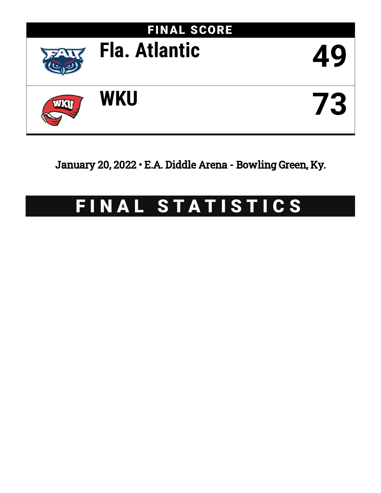

January 20, 2022 • E.A. Diddle Arena - Bowling Green, Ky.

# FINAL STATISTICS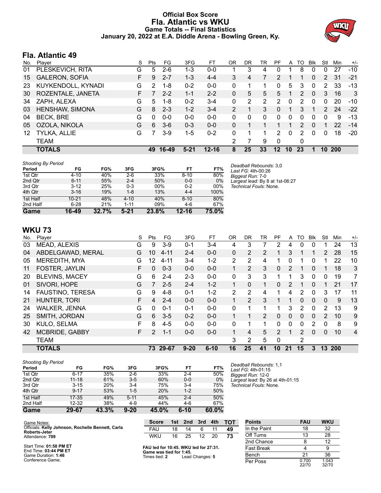# **Official Box Score Fla. Atlantic vs WKU Game Totals -- Final Statistics January 20, 2022 at E.A. Diddle Arena - Bowling Green, Ky.**



# **Fla. Atlantic 49**

| No. | Player                | S  | <b>Pts</b> | FG      | 3FG      | FT        | OR | DR | TR | PF | A        | TO | <b>B</b> lk  | Stl           | Min        | $+/-$ |
|-----|-----------------------|----|------------|---------|----------|-----------|----|----|----|----|----------|----|--------------|---------------|------------|-------|
| 01  | PLESKEVICH, RITA      | G  | 5          | $2-6$   | 1-3      | $0 - 0$   |    | 3  | 4  | 0  |          | 8  | 0            | 0             | 27         | $-10$ |
| 15  | <b>GALERON, SOFIA</b> | F. | 9          | $2 - 7$ | $1 - 3$  | $4 - 4$   | 3  | 4  |    | 2  |          |    | $\mathbf{0}$ | $\mathcal{P}$ | 31         | $-21$ |
| 23  | KUYKENDOLL, KYNADI    | G  | 2          | 1-8     | $0 - 2$  | $0 - 0$   | 0  |    |    | 0  | 5        | 3  | $\Omega$     | 2             | 33         | $-13$ |
| 30  | ROZENTALE, JANETA     | F. |            | $2 - 2$ | $1 - 1$  | $2 - 2$   | 0  | 5  | 5. | 5  |          | 2  | $\Omega$     | 3             | 16         | 3     |
| 34  | ZAPH, ALEXA           | G  | 5.         | 1-8     | $0 - 2$  | $3 - 4$   | 0  | 2  | 2  | 2  | $\Omega$ | 2  | 0            | 0             | 20         | $-10$ |
| 03  | HENSHAW, SIMONA       | G  | 8          | $2 - 3$ | $1 - 2$  | $3 - 4$   | 2  |    | 3  | 0  |          | 3  |              | $\mathcal{P}$ | 24         | $-22$ |
| 04  | <b>BECK, BRE</b>      | G  | $\Omega$   | $0 - 0$ | $0 - 0$  | $0 - 0$   | 0  | 0  | 0  | 0  | $\Omega$ | 0  | 0            | 0             | 9          | $-13$ |
| 05  | OZOLA, NIKOLA         | G  | 6          | $3-6$   | $0 - 3$  | $0 - 0$   | 0  |    |    |    |          | 2  | $\Omega$     |               | 22         | $-14$ |
| 12  | TYLKA, ALLIE          | G  | 7          | $3-9$   | $1 - 5$  | $0 - 2$   | 0  |    |    | 2  | $\Omega$ | 2  | 0            | $\Omega$      | 18         | $-20$ |
|     | TEAM                  |    |            |         |          |           | 2  |    | 9  | 0  |          | 0  |              |               |            |       |
|     | <b>TOTALS</b>         |    | 49         | 16-49   | $5 - 21$ | $12 - 16$ | 8  | 25 | 33 | 12 | 10       | 23 |              | 10            | <b>200</b> |       |

| <b>Shooting By Period</b> |           |       |          |          |          |          |                                              |
|---------------------------|-----------|-------|----------|----------|----------|----------|----------------------------------------------|
| Period                    | FG        | FG%   | 3FG      | 3FG%     | FT       | FT%      | Deadball Rebounds: 3,0<br>Last FG: 4th-00:26 |
| 1st Qtr                   | $4 - 10$  | 40%   | $2-6$    | 33%      | $8 - 10$ | 80%      | Biggest Run: 7-0                             |
| 2nd Qtr                   | $6 - 11$  | 55%   | $2 - 4$  | 50%      | $0-0$    | 0%       | Largest lead: By 8 at 1st-06:27              |
| 3rd Qtr                   | $3-12$    | 25%   | $0 - 3$  | 00%      | $0 - 2$  | 00%      | Technical Fouls: None.                       |
| 4th Qtr                   | $3 - 16$  | 19%   | 1-8      | 13%      | $4 - 4$  | 100%     |                                              |
| 1st Half                  | $10 - 21$ | 48%   | $4 - 10$ | 40%      | $8 - 10$ | 80%      |                                              |
| 2nd Half                  | $6 - 28$  | 21%   | $1 - 11$ | 09%      | 4-6      | 67%      |                                              |
| Game                      | 16-49     | 32.7% | $5 - 21$ | $23.8\%$ | 12-16    | $75.0\%$ |                                              |

**WKU 73**

| No. | Player                  | S  | Pts             | FG       | 3FG      | FT       | 0 <sub>R</sub> | DR             | TR | PF            | A        | TO             | <b>B</b> lk  | Stl          | Min | $+/-$          |
|-----|-------------------------|----|-----------------|----------|----------|----------|----------------|----------------|----|---------------|----------|----------------|--------------|--------------|-----|----------------|
| 03  | MEAD, ALEXIS            | G  | 9               | $3-9$    | $0 - 1$  | $3 - 4$  | 4              | 3              |    | 2             | 4        | 0              | 0            |              | 24  | 13             |
| 04  | ABDELGAWAD, MERAL       | G  | 10              | $4 - 11$ | $2 - 4$  | $0 - 0$  | $\mathbf{0}$   | 2              | 2  |               | 3        |                |              | 2            | 28  | 15             |
| 05  | MEREDITH, MYA           | G  | 12 <sup>2</sup> | $4 - 11$ | $3 - 4$  | $1 - 2$  | 2              | 2              | 4  |               | 0        |                | 0            |              | 22  | 10             |
| 11  | FOSTER, JAYLIN          | F  | 0               | $0 - 3$  | $0 - 0$  | $0 - 0$  |                | 2              | 3  | $\Omega$      | 2        | 1              | $\Omega$     |              | 18  | 3              |
| 20  | <b>BLEVINS, MACEY</b>   | G  | 6               | $2 - 4$  | $2 - 3$  | $0 - 0$  | 0              | 3              | 3  |               | 1        | 3              | $\mathbf{0}$ | $\Omega$     | 19  | 7              |
| 01  | SIVORI, HOPE            | G  | $\overline{7}$  | $2 - 5$  | $2 - 4$  | $1 - 2$  | 1              | $\Omega$       |    | 0             | 2        |                | $\Omega$     |              | 21  | 17             |
| 14  | <b>FAUSTINO, TERESA</b> | G  | 9               | $4 - 8$  | $0 - 1$  | $1 - 2$  | 2              | 2              | 4  |               | 4        | 2              | 0            | 3            | 17  | 11             |
| 21  | HUNTER, TORI            | F  | 4               | $2 - 4$  | $0 - 0$  | $0 - 0$  |                | $\overline{2}$ | 3  |               | 1        | 0              | $\mathbf{0}$ | $\mathbf{0}$ | 9   | 13             |
| 24  | <b>WALKER, JENNA</b>    | G  | 0               | $0 - 1$  | $0 - 1$  | $0 - 0$  | 0              |                |    |               | 3        | 2              | 0            | 2            | 13  | 9              |
| 25  | SMITH, JORDAN           | G  | 6               | $3-5$    | $0 - 2$  | $0 - 0$  |                |                | 2  | 0             | 0        | 0              | $\mathbf{0}$ | 2            | 10  | 9              |
| 30  | KULO, SELMA             | F  | 8               | $4 - 5$  | $0 - 0$  | $0 - 0$  | 0              |                | 1  | 0             | $\Omega$ | 0              | 2            | $\Omega$     | 8   | 9              |
| 42  | <b>MCBRIDE, GABBY</b>   | F. | $\mathcal{P}$   | $1 - 1$  | $0 - 0$  | $0 - 0$  |                | 4              | 5  | $\mathcal{P}$ | 1        | $\overline{2}$ | $\Omega$     | 0            | 10  | $\overline{4}$ |
|     | <b>TEAM</b>             |    |                 |          |          |          | 3              | 2              | 5  | $\Omega$      |          | 2              |              |              |     |                |
|     | <b>TOTALS</b>           |    | 73.             | 29-67    | $9 - 20$ | $6 - 10$ | 16             | 25             | 41 | 10            | 21       | 15             | 3            | 13           | 200 |                |
|     |                         |    |                 |          |          |          |                |                |    |               |          |                |              |              |     |                |

### *Shooting By Period*

| 2nd Half<br>Game             | $12 - 32$<br>29-67 | 38%<br>43.3% | $4 - 9$<br>$9 - 20$ | 44%<br>45.0% | $4-6$<br>$6 - 10$ | 67%<br>$60.0\%$ |                                              |
|------------------------------|--------------------|--------------|---------------------|--------------|-------------------|-----------------|----------------------------------------------|
| 1st Half                     | $17 - 35$          | 49%          | $5 - 11$            | 45%          | $2 - 4$           | 50%             |                                              |
| 4th Qtr                      | $9 - 17$           | 53%          | $1 - 5$             | 20%          | $1-2$             | 50%             |                                              |
| 3rd Qtr                      | $3 - 15$           | 20%          | $3 - 4$             | 75%          | $3 - 4$           | 75%             | Technical Fouls: None.                       |
| 2nd Qtr                      | $11 - 18$          | 61%          | $3 - 5$             | 60%          | $0-0$             | 0%              | Largest lead: By 26 at 4th-01:15             |
| 1st Qtr                      | $6 - 17$           | 35%          | $2-6$               | 33%          | $2 - 4$           | 50%             | Biggest Run: 12-0                            |
| Snooting By Period<br>Period | FG                 | FG%          | 3FG                 | 3FG%         | FT                | FT%             | Deadball Rebounds: 1.1<br>Last FG: 4th-01:15 |

**Points FAU WKU** In the Paint 18 32 Off Turns 13 28 2nd Chance 8 12 Fast Break 4 9 Bench 21 36 Per Poss 0.700<br>22/70 1.043 32/70

Game Notes: Officials: **Kelly Johnson, Rochelle Bennett, Carla Roberts-Jeter** Attendance: **709**

Start Time: **01:58 PM ET** End Time: **03:44 PM ET** Game Duration: **1:46** Conference Game;

**FAU led for 10:45. WKU led for 27:31. Game was tied for 1:45.** Lead Changes: 5

**Score 1st 2nd 3rd 4th TOT** FAU 18 14 6 11 **49** WKU 16 25 12 20 **73**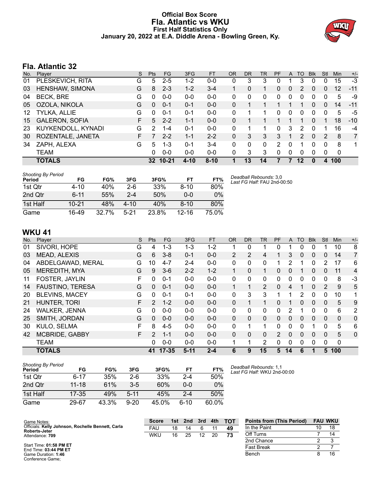# **Official Box Score Fla. Atlantic vs WKU First Half Statistics Only January 20, 2022 at E.A. Diddle Arena - Bowling Green, Ky.**



# **Fla. Atlantic 32**

| No. | Player                | S  | <b>Pts</b>      | FG        | 3FG      | <b>FT</b> | <b>OR</b> | DR | TR | PF       | A | TO            | <b>B</b> lk  | Stl | <b>Min</b> | $+/-$          |
|-----|-----------------------|----|-----------------|-----------|----------|-----------|-----------|----|----|----------|---|---------------|--------------|-----|------------|----------------|
| 01  | PLESKEVICH, RITA      | G  | 5               | $2 - 5$   | $1 - 2$  | $0-0$     | 0         | 3  | 3  | 0        |   | 3             | 0            | 0   | 15         | $-3$           |
| 03  | HENSHAW, SIMONA       | G  | 8               | $2 - 3$   | $1 - 2$  | $3 - 4$   |           | 0  | 1  | 0        | 0 | 2             | 0            | 0   | 12         | $-11$          |
| 04  | <b>BECK, BRE</b>      | G  | 0               | $0-0$     | $0 - 0$  | $0 - 0$   | 0         | 0  | 0  | 0        | 0 | 0             | 0            | 0   | 5          | -9             |
| 05  | OZOLA, NIKOLA         | G  | $\mathbf{0}$    | $0 - 1$   | $0 - 1$  | $0 - 0$   | 0         |    |    |          |   |               | $\Omega$     | 0   | 14         | $-11$          |
| 12  | TYLKA, ALLIE          | G  | $\Omega$        | $0 - 1$   | $0 - 1$  | $0 - 0$   | 0         |    |    | 0        | 0 | 0             | $\Omega$     | 0   | 5          | -5             |
| 15  | <b>GALERON, SOFIA</b> | F  | 5               | $2 - 2$   | $1 - 1$  | $0 - 0$   | 0         |    |    |          |   |               | 0            | 1   | 18         | $-10$          |
| 23  | KUYKENDOLL, KYNADI    | G  | $\mathcal{P}$   | 1-4       | $0 - 1$  | $0 - 0$   | 0         |    |    | $\Omega$ | 3 | 2             | <sup>0</sup> | 1   | 16         | -4             |
| 30  | ROZENTALE, JANETA     | F. |                 | $2 - 2$   | $1 - 1$  | $2 - 2$   | $\Omega$  | 3  | 3  | 3        |   | $\mathcal{P}$ | $\Omega$     | 2   | 8          | $\overline{7}$ |
| 34  | ZAPH, ALEXA           | G  | 5               | $1 - 3$   | $0 - 1$  | $3 - 4$   | 0         | 0  | 0  | 2        | 0 | 1             | 0            | 0   | 8          | 1              |
|     | TEAM                  |    | 0               | $0 - 0$   | $0 - 0$  | $0 - 0$   | 0         | 3  | 3  | $\Omega$ | 0 | 0             | $\Omega$     | 0   | 0          |                |
|     | <b>TOTALS</b>         |    | 32 <sub>2</sub> | $10 - 21$ | $4 - 10$ | $8 - 10$  |           | 13 | 14 |          |   | 12            |              | 4   | 100        |                |

| <b>Shooting By Period</b><br>Period | FG       | FG%   | 3FG      | 3FG%  | FT        | FT%   | Deadball Rebounds: 3,0<br>Last FG Half: FAU 2nd-00:50 |
|-------------------------------------|----------|-------|----------|-------|-----------|-------|-------------------------------------------------------|
| 1st Qtr                             | 4-10     | 40%   | $2-6$    | 33%   | $8 - 10$  | 80%   |                                                       |
| 2nd Qtr                             | $6 - 11$ | 55%   | $2 - 4$  | 50%   | $0 - 0$   | 0%    |                                                       |
| 1st Half                            | 10-21    | 48%   | $4 - 10$ | 40%   | $8 - 10$  | 80%   |                                                       |
| Game                                | 16-49    | 32.7% | $5 - 21$ | 23.8% | $12 - 16$ | 75.0% |                                                       |

# **WKU 41**

| No. | Player                  | S  | <b>Pts</b>    | <b>FG</b> | 3FG      | FT      | <b>OR</b>      | D <sub>R</sub> | TR             | <b>PF</b>     | A        | TO       | <b>B</b> lk | Stl          | Min          | $+/-$          |
|-----|-------------------------|----|---------------|-----------|----------|---------|----------------|----------------|----------------|---------------|----------|----------|-------------|--------------|--------------|----------------|
| 01  | SIVORI, HOPE            | G  | 4             | 1-3       | 1-3      | $1 - 2$ |                | 0              |                | 0             |          | 0        | 0           |              | 10           | 8              |
| 03  | MEAD, ALEXIS            | G  | 6             | $3 - 8$   | $0 - 1$  | $0 - 0$ | $\overline{2}$ | 2              | 4              |               | 3        | 0        | 0           | 0            | 14           | $\overline{7}$ |
| 04  | ABDELGAWAD, MERAL       | G  | 10            | $4 - 7$   | $2 - 4$  | $0 - 0$ | 0              | 0              | 0              |               | 2        |          | 0           | 2            | 17           | 6              |
| 05  | <b>MEREDITH, MYA</b>    | G  | 9             | $3-6$     | $2 - 2$  | $1 - 2$ | 1              | 0              | 1              | $\Omega$      | 0        |          | $\Omega$    | 0            | 11           | 4              |
| 11  | FOSTER, JAYLIN          | F. | 0             | $0 - 1$   | $0 - 0$  | $0-0$   | 0              | 0              | $\mathbf{0}$   | 0             | 0        | 0        | 0           | 0            | 8            | -3             |
| 14  | <b>FAUSTINO, TERESA</b> | G  | 0             | $0 - 1$   | $0 - 0$  | $0 - 0$ | 1              | 1              | $\overline{2}$ | $\Omega$      | 4        | 1        | $\Omega$    | 2            | 9            | 5              |
| 20  | <b>BLEVINS, MACEY</b>   | G  | 0             | $0 - 1$   | $0 - 1$  | $0 - 0$ | 0              | 3              | 3              |               |          | 2        | 0           | 0            | 10           | 1              |
| 21  | <b>HUNTER, TORI</b>     | F  | $\mathcal{P}$ | $1 - 2$   | $0 - 0$  | $0 - 0$ | $\Omega$       | 1              | 1              | $\Omega$      |          | $\Omega$ | $\Omega$    | $\Omega$     | 5            | 9              |
| 24  | <b>WALKER, JENNA</b>    | G  | 0             | $0 - 0$   | $0 - 0$  | $0 - 0$ | 0              | 0              | 0              | 0             | 2        |          | $\Omega$    | 0            | 6            | $\overline{2}$ |
| 25  | SMITH, JORDAN           | G  | $\Omega$      | $0 - 0$   | $0 - 0$  | $0 - 0$ | $\Omega$       | $\Omega$       | $\Omega$       | $\Omega$      | $\Omega$ | $\Omega$ | $\Omega$    | $\mathbf{0}$ | $\mathbf{0}$ | 0              |
| 30  | KULO, SELMA             | F  | 8             | $4 - 5$   | $0 - 0$  | $0 - 0$ | $\mathbf{0}$   | 1              | 1              | 0             | 0        | 0        |             | 0            | 5            | 6              |
| 42  | <b>MCBRIDE, GABBY</b>   | F. | $\mathcal{P}$ | $1 - 1$   | $0 - 0$  | $0 - 0$ | $\Omega$       | $\Omega$       | $\Omega$       | $\mathcal{P}$ | $\Omega$ | $\Omega$ | $\Omega$    | $\mathbf{0}$ | 5            | 0              |
|     | <b>TEAM</b>             |    | 0             | $0 - 0$   | $0 - 0$  | $0 - 0$ | 4              | 1              | 2              | 0             | 0        | 0        | 0           | 0            | 0            |                |
|     | <b>TOTALS</b>           |    | 41            | $17 - 35$ | $5 - 11$ | $2 - 4$ | 6              | 9              | 15             | 5             | 14       | 6        |             | 5.           | 100          |                |

| <b>Shooting By Period</b><br>Period | FG        | FG%   | 3FG      | 3FG%  | FT   | FT%   |
|-------------------------------------|-----------|-------|----------|-------|------|-------|
| 1st Otr                             | 6-17      | 35%   | $2-6$    | 33%   | 2-4  | 50%   |
| 2nd Qtr                             | $11 - 18$ | 61%   | $3-5$    | 60%   | ი-ი  | $0\%$ |
| 1st Half                            | $17 - 35$ | 49%   | $5 - 11$ | 45%   | 2-4  | 50%   |
| Game                                | 29-67     | 43.3% | $9 - 20$ | 45.0% | ჩ-10 | 60.0% |

*Deadball Rebounds:* 1,1 *Last FG Half:* WKU 2nd-00:00

| Game Notes:                                                               | <b>Score</b> | 1st | 2nd | 3rd | 4th | <b>TOT</b> | <b>Points from (This Period)</b> | <b>FAU WKU</b> |
|---------------------------------------------------------------------------|--------------|-----|-----|-----|-----|------------|----------------------------------|----------------|
| Officials: Kelly Johnson, Rochelle Bennett, Carla<br><b>Roberts-Jeter</b> | <b>FAU</b>   | 18  | 14  |     |     | 49         | In the Paint                     | 18             |
| Attendance: 709                                                           | <b>WKU</b>   | 16  | 25  | 12  | 20  | 73         | Off Turns                        |                |
|                                                                           |              |     |     |     |     |            | 2nd Chance                       |                |
| Start Time: 01:58 PM ET<br>End Time: $03:44$ PM ET                        |              |     |     |     |     |            | <b>Fast Break</b>                |                |
| Game Duration: 1:46                                                       |              |     |     |     |     |            | Bench                            |                |

End Time: **03:44 PM ET** Game Duration: **1:46** Conference Game;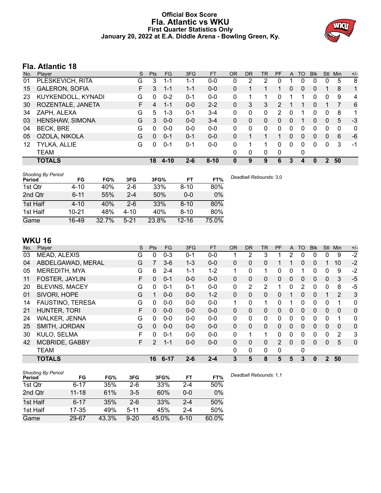# **Official Box Score Fla. Atlantic vs WKU First Quarter Statistics Only January 20, 2022 at E.A. Diddle Arena - Bowling Green, Ky.**



# **Fla. Atlantic 18**

| No. | Plaver                | S  | Pts      | <b>FG</b> | 3FG     | <b>FT</b> | <b>OR</b>    | <b>DR</b> | <b>TR</b> | PF | A        | <b>TO</b> | <b>Blk</b> | <b>Stl</b> | Min | $+/-$       |
|-----|-----------------------|----|----------|-----------|---------|-----------|--------------|-----------|-----------|----|----------|-----------|------------|------------|-----|-------------|
| 01  | PLESKEVICH, RITA      | G  | 3        | 1-1       | 1-1     | $0-0$     | 0            | 2         | 2         | 0  |          | 0         | 0          | 0          | 5   | -8          |
| 15  | <b>GALERON, SOFIA</b> | F. | 3        | 1-1       | $1 - 1$ | $0 - 0$   | $\Omega$     |           |           |    | 0        | $\Omega$  | 0          |            | 8   | 1           |
| 23  | KUYKENDOLL, KYNADI    | G  | 0        | $0 - 2$   | $0 - 1$ | $0-0$     | 0            |           | 1         | 0  |          |           | 0          | $\Omega$   | 9   | 4           |
| 30  | ROZENTALE, JANETA     | F. | 4        | 1-1       | $0 - 0$ | $2 - 2$   | $\Omega$     | 3         | 3         | 2  |          |           | 0          |            |     | 6           |
| 34  | ZAPH, ALEXA           | G  | 5        | $1 - 3$   | $0 - 1$ | $3 - 4$   | 0            | 0         | 0         | 2  | 0        |           | 0          | 0          | 8   | 1           |
| 03  | HENSHAW, SIMONA       | G  | 3        | $0 - 0$   | $0 - 0$ | $3 - 4$   | $\mathbf{0}$ | 0         | 0         | 0  | 0        |           | 0          | 0          | 5   | $-3$        |
| 04  | <b>BECK, BRE</b>      | G  | 0        | $0-0$     | $0 - 0$ | $0-0$     | 0            | 0         | 0         | 0  | 0        | ∩         | 0          | 0          | 0   | $\mathbf 0$ |
| 05  | OZOLA, NIKOLA         | G  | $\Omega$ | $0 - 1$   | $0 - 1$ | $0 - 0$   | 0            |           |           |    | 0        | $\Omega$  | 0          | $\Omega$   | 6   | $-6$        |
| 12  | TYLKA, ALLIE          | G  | 0        | $0 - 1$   | $0 - 1$ | $0-0$     | 0            |           | 1         | 0  | $\Omega$ | 0         | 0          | 0          | 3   | $-1$        |
|     | <b>TEAM</b>           |    |          |           |         |           | 0            | 0         | 0         | 0  |          | 0         |            |            |     |             |
|     | <b>TOTALS</b>         |    | 18       | $4 - 10$  | $2 - 6$ | $8 - 10$  | $\bf{0}$     | 9         | 9         | 6  | 3        | 4         | 0          | 2          | 50  |             |

| <b>Shooting By Period</b><br>Period | FG        | FG%   | 3FG      | 3FG%  | FT        | FT%   | Deadball Rebounds: 3,0 |
|-------------------------------------|-----------|-------|----------|-------|-----------|-------|------------------------|
| 1st Qtr                             | 4-10      | 40%   | $2-6$    | 33%   | $8 - 10$  | 80%   |                        |
| 2nd Qtr                             | $6 - 11$  | 55%   | $2 - 4$  | 50%   | $0 - 0$   | 0%    |                        |
| 1st Half                            | $4 - 10$  | 40%   | $2-6$    | 33%   | $8 - 10$  | 80%   |                        |
| 1st Half                            | $10 - 21$ | 48%   | $4 - 10$ | 40%   | $8 - 10$  | 80%   |                        |
| Game                                | 16-49     | 32.7% | $5 - 21$ | 23.8% | $12 - 16$ | 75.0% |                        |

# **WKU 16**

| No. | Plaver                  | S  | <b>Pts</b>   | <b>FG</b> | 3FG     | <b>FT</b> | <b>OR</b>    | <b>DR</b>    | TR | PF            | A            | TO           | <b>Blk</b> | Stl          | Min          | $+/-$       |
|-----|-------------------------|----|--------------|-----------|---------|-----------|--------------|--------------|----|---------------|--------------|--------------|------------|--------------|--------------|-------------|
| 03  | MEAD, ALEXIS            | G  | 0            | $0 - 3$   | $0 - 1$ | $0-0$     | 1            | 2            | 3  |               | 2            | 0            | 0          | 0            | 9            | $-2$        |
| 04  | ABDELGAWAD, MERAL       | G  |              | $3-6$     | $1 - 3$ | $0 - 0$   | $\Omega$     | $\Omega$     | 0  |               |              | $\Omega$     | $\Omega$   |              | 10           | $-2$        |
| 05  | MEREDITH, MYA           | G  | 6            | $2 - 4$   | $1 - 1$ | $1 - 2$   | 1            | 0            | 1  | 0             | 0            |              | 0          | 0            | 9            | $-2$        |
| 11  | FOSTER, JAYLIN          | F  | 0            | $0 - 1$   | $0 - 0$ | $0 - 0$   | $\mathbf{0}$ | $\mathbf{0}$ | 0  | 0             | $\mathbf{0}$ | $\mathbf{0}$ | 0          | $\mathbf{0}$ | 3            | $-5$        |
| 20  | <b>BLEVINS, MACEY</b>   | G  | 0            | $0 - 1$   | $0 - 1$ | $0-0$     | 0            | 2            | 2  | 1             | 0            | 2            | 0          | 0            | 8            | $-5$        |
| 01  | SIVORI, HOPE            | G  |              | $0 - 0$   | $0 - 0$ | $1 - 2$   | $\mathbf{0}$ | $\mathbf{0}$ | 0  | 0             |              | $\mathbf{0}$ | 0          |              | 2            | 3           |
| 14  | <b>FAUSTINO, TERESA</b> | G  | 0            | $0 - 0$   | $0 - 0$ | $0 - 0$   | 1            | 0            | 1  | 0             |              | 0            | 0          | 0            |              | 0           |
| 21  | HUNTER, TORI            | F  | $\mathbf{0}$ | $0 - 0$   | $0 - 0$ | $0 - 0$   | $\mathbf{0}$ | 0            | 0  | 0             | $\mathbf{0}$ | $\mathbf{0}$ | 0          | $\mathbf{0}$ | 0            | 0           |
| 24  | <b>WALKER, JENNA</b>    | G  | 0            | $0 - 0$   | $0 - 0$ | $0 - 0$   | 0            | $\Omega$     | 0  | 0             | $\Omega$     | $\Omega$     | 0          | $\Omega$     | 1            | 0           |
| 25  | SMITH, JORDAN           | G  | $\Omega$     | $0 - 0$   | $0 - 0$ | $0 - 0$   | $\Omega$     | $\Omega$     | 0  | 0             | $\mathbf{0}$ | $\Omega$     | $\Omega$   | $\Omega$     | $\mathbf{0}$ | 0           |
| 30  | KULO, SELMA             | F  | $\Omega$     | $0 - 1$   | $0 - 0$ | $0 - 0$   | 0            | 1            | 1  | 0             | 0            | $\Omega$     | 0          | $\Omega$     | 2            | 3           |
| 42  | MCBRIDE, GABBY          | F. | 2            | $1 - 1$   | $0-0$   | $0 - 0$   | $\Omega$     | $\Omega$     | 0  | $\mathcal{P}$ | $\Omega$     | $\Omega$     | $\Omega$   | $\mathbf{0}$ | 5            | $\mathbf 0$ |
|     | <b>TEAM</b>             |    |              |           |         |           | 0            | $\mathbf{0}$ | 0  | 0             |              | $\mathbf{0}$ |            |              |              |             |
|     | <b>TOTALS</b>           |    | 16           | $6 - 17$  | $2 - 6$ | $2 - 4$   | 3            | 5            | 8  | 5             | 5            | 3            | 0          | $\mathbf{2}$ | 50           |             |

| <b>Shooting By Period</b> |           |       |          |       |         |       |
|---------------------------|-----------|-------|----------|-------|---------|-------|
| Period                    | FG        | FG%   | 3FG      | 3FG%  | FT      | FT%   |
| 1st Qtr                   | $6 - 17$  | 35%   | 2-6      | 33%   | $2 - 4$ | 50%   |
| 2nd Qtr                   | $11 - 18$ | 61%   | $3-5$    | 60%   | $0 - 0$ | $0\%$ |
| 1st Half                  | $6 - 17$  | 35%   | $2-6$    | 33%   | $2 - 4$ | 50%   |
| 1st Half                  | 17-35     | 49%   | $5 - 11$ | 45%   | $2 - 4$ | 50%   |
| Game                      | 29-67     | 43.3% | $9 - 20$ | 45.0% | $6-10$  | 60.0% |

*Deadball Rebounds:* 1,1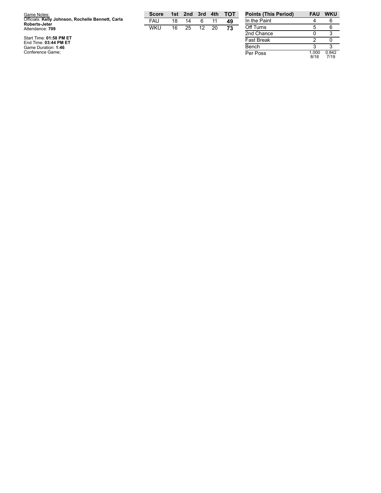| Game Notes:                                                        | <b>Score</b> | 1st | 2nd 3rd |    | 4th | TOT | <b>Points (This Period)</b> | <b>FAU</b> | <b>WKU</b> |
|--------------------------------------------------------------------|--------------|-----|---------|----|-----|-----|-----------------------------|------------|------------|
| Officials: Kelly Johnson, Rochelle Bennett, Carla<br>Roberts-Jeter | <b>FAU</b>   | 18  | 14      |    |     | 49  | In the Paint                |            |            |
| Attendance: 709                                                    | <b>WKU</b>   | 16  | 25      | 12 | 20  | 73  | Off Turns                   |            |            |
|                                                                    |              |     |         |    |     |     | 2nd Chance                  |            |            |
| Start Time: 01:58 PM ET<br>End Time: 03:44 PM ET                   |              |     |         |    |     |     | <b>Fast Break</b>           |            |            |
| Game Duration: 1:46                                                |              |     |         |    |     |     | Bench                       |            |            |
| Conference Game:                                                   |              |     |         |    |     |     | Per Poss                    | 000. ا     | 0.842      |

0 3 2 0 3 3 Per Poss 1.0 0 0 8 / 1 8 0.8 4 2 7 / 1 9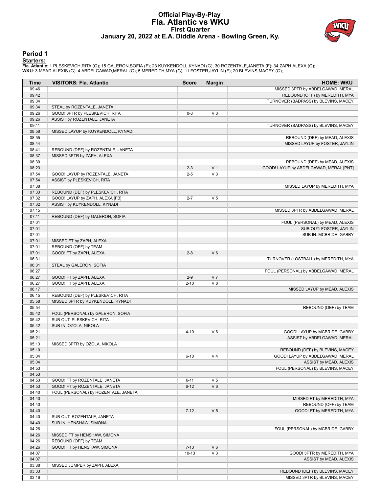# **Official Play-By-Play Fla. Atlantic vs WKU First Quarter January 20, 2022 at E.A. Diddle Arena - Bowling Green, Ky.**



### **Period 1**

<mark>Starters:</mark><br>Fla. Atlantic: 1 PLESKEVICH,RITA (G); 15 GALERON,SOFIA (F); 23 KUYKENDOLL,KYNADI (G); 30 ROZENTALE,JANETA (F); 34 ZAPH,ALEXA (G);<br>WKU: 3 MEAD,ALEXIS (G); 4 ABDELGAWAD,MERAL (G); 5 MEREDITH,MYA (G); 11 FOSTER,JA

| 09:46<br>MISSED 3PTR by ABDELGAWAD, MERAL<br>09:42<br>REBOUND (OFF) by MEREDITH, MYA<br>09:34<br>TURNOVER (BADPASS) by BLEVINS, MACEY<br>09:34<br>STEAL by ROZENTALE, JANETA<br>09:26<br>GOOD! 3PTR by PLESKEVICH, RITA<br>$0 - 3$<br>$V_3$<br>09:26<br>ASSIST by ROZENTALE, JANETA<br>09:11<br>TURNOVER (BADPASS) by BLEVINS, MACEY<br>08:58<br>MISSED LAYUP by KUYKENDOLL, KYNADI<br>08:55<br>REBOUND (DEF) by MEAD, ALEXIS<br>08:44<br>MISSED LAYUP by FOSTER, JAYLIN<br>08:41<br>REBOUND (DEF) by ROZENTALE, JANETA<br>08:37<br>MISSED 3PTR by ZAPH, ALEXA<br>08:30<br>REBOUND (DEF) by MEAD, ALEXIS<br>V <sub>1</sub><br>08:23<br>$2 - 3$<br>GOOD! LAYUP by ABDELGAWAD, MERAL [PNT]<br>$V_3$<br>07:54<br>$2 - 5$<br>GOOD! LAYUP by ROZENTALE, JANETA<br>07:54<br>ASSIST by PLESKEVICH, RITA<br>07:38<br>MISSED LAYUP by MEREDITH, MYA<br>07:33<br>REBOUND (DEF) by PLESKEVICH, RITA<br>07:32<br>GOOD! LAYUP by ZAPH, ALEXA [FB]<br>$2 - 7$<br>V <sub>5</sub><br>07:32<br>ASSIST by KUYKENDOLL, KYNADI<br>07:15<br>MISSED 3PTR by ABDELGAWAD, MERAL<br>07:11<br>REBOUND (DEF) by GALERON, SOFIA<br>07:01<br>FOUL (PERSONAL) by MEAD, ALEXIS<br>07:01<br>SUB OUT: FOSTER, JAYLIN<br>07:01<br>SUB IN: MCBRIDE, GABBY<br>07:01<br>MISSED FT by ZAPH, ALEXA<br>07:01<br>REBOUND (OFF) by TEAM<br>07:01<br>GOOD! FT by ZAPH, ALEXA<br>$V_6$<br>$2 - 8$<br>06:31<br>TURNOVER (LOSTBALL) by MEREDITH, MYA<br>06:31<br>STEAL by GALERON, SOFIA<br>06:27<br>FOUL (PERSONAL) by ABDELGAWAD, MERAL<br>06:27<br>V <sub>7</sub><br>GOOD! FT by ZAPH, ALEXA<br>$2-9$<br>V8<br>06:27<br>GOOD! FT by ZAPH, ALEXA<br>$2 - 10$<br>06:17<br>MISSED LAYUP by MEAD, ALEXIS<br>06:15<br>REBOUND (DEF) by PLESKEVICH, RITA<br>05:58<br>MISSED 3PTR by KUYKENDOLL, KYNADI<br>05:54<br>REBOUND (DEF) by TEAM<br>05:42<br>FOUL (PERSONAL) by GALERON, SOFIA<br>05:42<br>SUB OUT: PLESKEVICH, RITA<br>05:42<br>SUB IN: OZOLA, NIKOLA<br>$V_6$<br>05:21<br>$4 - 10$<br>GOOD! LAYUP by MCBRIDE, GABBY<br>05:21<br>ASSIST by ABDELGAWAD, MERAL<br>05:13<br>MISSED 3PTR by OZOLA, NIKOLA<br>REBOUND (DEF) by BLEVINS, MACEY<br>05:10<br>GOOD! LAYUP by ABDELGAWAD, MERAL<br>05:04<br>V <sub>4</sub><br>$6 - 10$<br>ASSIST by MEAD, ALEXIS<br>05:04<br>04:53<br>FOUL (PERSONAL) by BLEVINS, MACEY<br>04:53<br>04:53<br>V <sub>5</sub><br>GOOD! FT by ROZENTALE, JANETA<br>$6 - 11$<br>04:53<br>GOOD! FT by ROZENTALE, JANETA<br>$V_6$<br>$6 - 12$<br>04:40<br>FOUL (PERSONAL) by ROZENTALE, JANETA<br>04:40<br>MISSED FT by MEREDITH, MYA<br>04:40<br>REBOUND (OFF) by TEAM<br>04:40<br>V <sub>5</sub><br>$7 - 12$<br>GOOD! FT by MEREDITH, MYA<br>04:40<br>SUB OUT: ROZENTALE, JANETA<br>04:40<br>SUB IN: HENSHAW, SIMONA<br>04:26<br>FOUL (PERSONAL) by MCBRIDE, GABBY<br>04:26<br>MISSED FT by HENSHAW, SIMONA<br>04:26<br>REBOUND (OFF) by TEAM<br>04:26<br>$V_6$<br>GOOD! FT by HENSHAW, SIMONA<br>$7 - 13$<br>$V_3$<br>04:07<br>$10 - 13$<br>GOOD! 3PTR by MEREDITH, MYA<br>04:07<br>ASSIST by MEAD, ALEXIS<br>03:38<br>MISSED JUMPER by ZAPH, ALEXA<br>03:33<br>REBOUND (DEF) by BLEVINS, MACEY | Time  | <b>VISITORS: Fla. Atlantic</b> | <b>Score</b> | <b>Margin</b> | <b>HOME: WKU</b>              |
|----------------------------------------------------------------------------------------------------------------------------------------------------------------------------------------------------------------------------------------------------------------------------------------------------------------------------------------------------------------------------------------------------------------------------------------------------------------------------------------------------------------------------------------------------------------------------------------------------------------------------------------------------------------------------------------------------------------------------------------------------------------------------------------------------------------------------------------------------------------------------------------------------------------------------------------------------------------------------------------------------------------------------------------------------------------------------------------------------------------------------------------------------------------------------------------------------------------------------------------------------------------------------------------------------------------------------------------------------------------------------------------------------------------------------------------------------------------------------------------------------------------------------------------------------------------------------------------------------------------------------------------------------------------------------------------------------------------------------------------------------------------------------------------------------------------------------------------------------------------------------------------------------------------------------------------------------------------------------------------------------------------------------------------------------------------------------------------------------------------------------------------------------------------------------------------------------------------------------------------------------------------------------------------------------------------------------------------------------------------------------------------------------------------------------------------------------------------------------------------------------------------------------------------------------------------------------------------------------------------------------------------------------------------------------------------------------------------------------------------------------------------------------------------------------------------------------------------------------------------------------------------------------------------------------------------------------------------------------------------------------------------------------------------------------------------------------|-------|--------------------------------|--------------|---------------|-------------------------------|
|                                                                                                                                                                                                                                                                                                                                                                                                                                                                                                                                                                                                                                                                                                                                                                                                                                                                                                                                                                                                                                                                                                                                                                                                                                                                                                                                                                                                                                                                                                                                                                                                                                                                                                                                                                                                                                                                                                                                                                                                                                                                                                                                                                                                                                                                                                                                                                                                                                                                                                                                                                                                                                                                                                                                                                                                                                                                                                                                                                                                                                                                            |       |                                |              |               |                               |
|                                                                                                                                                                                                                                                                                                                                                                                                                                                                                                                                                                                                                                                                                                                                                                                                                                                                                                                                                                                                                                                                                                                                                                                                                                                                                                                                                                                                                                                                                                                                                                                                                                                                                                                                                                                                                                                                                                                                                                                                                                                                                                                                                                                                                                                                                                                                                                                                                                                                                                                                                                                                                                                                                                                                                                                                                                                                                                                                                                                                                                                                            |       |                                |              |               |                               |
|                                                                                                                                                                                                                                                                                                                                                                                                                                                                                                                                                                                                                                                                                                                                                                                                                                                                                                                                                                                                                                                                                                                                                                                                                                                                                                                                                                                                                                                                                                                                                                                                                                                                                                                                                                                                                                                                                                                                                                                                                                                                                                                                                                                                                                                                                                                                                                                                                                                                                                                                                                                                                                                                                                                                                                                                                                                                                                                                                                                                                                                                            |       |                                |              |               |                               |
|                                                                                                                                                                                                                                                                                                                                                                                                                                                                                                                                                                                                                                                                                                                                                                                                                                                                                                                                                                                                                                                                                                                                                                                                                                                                                                                                                                                                                                                                                                                                                                                                                                                                                                                                                                                                                                                                                                                                                                                                                                                                                                                                                                                                                                                                                                                                                                                                                                                                                                                                                                                                                                                                                                                                                                                                                                                                                                                                                                                                                                                                            |       |                                |              |               |                               |
|                                                                                                                                                                                                                                                                                                                                                                                                                                                                                                                                                                                                                                                                                                                                                                                                                                                                                                                                                                                                                                                                                                                                                                                                                                                                                                                                                                                                                                                                                                                                                                                                                                                                                                                                                                                                                                                                                                                                                                                                                                                                                                                                                                                                                                                                                                                                                                                                                                                                                                                                                                                                                                                                                                                                                                                                                                                                                                                                                                                                                                                                            |       |                                |              |               |                               |
|                                                                                                                                                                                                                                                                                                                                                                                                                                                                                                                                                                                                                                                                                                                                                                                                                                                                                                                                                                                                                                                                                                                                                                                                                                                                                                                                                                                                                                                                                                                                                                                                                                                                                                                                                                                                                                                                                                                                                                                                                                                                                                                                                                                                                                                                                                                                                                                                                                                                                                                                                                                                                                                                                                                                                                                                                                                                                                                                                                                                                                                                            |       |                                |              |               |                               |
|                                                                                                                                                                                                                                                                                                                                                                                                                                                                                                                                                                                                                                                                                                                                                                                                                                                                                                                                                                                                                                                                                                                                                                                                                                                                                                                                                                                                                                                                                                                                                                                                                                                                                                                                                                                                                                                                                                                                                                                                                                                                                                                                                                                                                                                                                                                                                                                                                                                                                                                                                                                                                                                                                                                                                                                                                                                                                                                                                                                                                                                                            |       |                                |              |               |                               |
|                                                                                                                                                                                                                                                                                                                                                                                                                                                                                                                                                                                                                                                                                                                                                                                                                                                                                                                                                                                                                                                                                                                                                                                                                                                                                                                                                                                                                                                                                                                                                                                                                                                                                                                                                                                                                                                                                                                                                                                                                                                                                                                                                                                                                                                                                                                                                                                                                                                                                                                                                                                                                                                                                                                                                                                                                                                                                                                                                                                                                                                                            |       |                                |              |               |                               |
|                                                                                                                                                                                                                                                                                                                                                                                                                                                                                                                                                                                                                                                                                                                                                                                                                                                                                                                                                                                                                                                                                                                                                                                                                                                                                                                                                                                                                                                                                                                                                                                                                                                                                                                                                                                                                                                                                                                                                                                                                                                                                                                                                                                                                                                                                                                                                                                                                                                                                                                                                                                                                                                                                                                                                                                                                                                                                                                                                                                                                                                                            |       |                                |              |               |                               |
|                                                                                                                                                                                                                                                                                                                                                                                                                                                                                                                                                                                                                                                                                                                                                                                                                                                                                                                                                                                                                                                                                                                                                                                                                                                                                                                                                                                                                                                                                                                                                                                                                                                                                                                                                                                                                                                                                                                                                                                                                                                                                                                                                                                                                                                                                                                                                                                                                                                                                                                                                                                                                                                                                                                                                                                                                                                                                                                                                                                                                                                                            |       |                                |              |               |                               |
|                                                                                                                                                                                                                                                                                                                                                                                                                                                                                                                                                                                                                                                                                                                                                                                                                                                                                                                                                                                                                                                                                                                                                                                                                                                                                                                                                                                                                                                                                                                                                                                                                                                                                                                                                                                                                                                                                                                                                                                                                                                                                                                                                                                                                                                                                                                                                                                                                                                                                                                                                                                                                                                                                                                                                                                                                                                                                                                                                                                                                                                                            |       |                                |              |               |                               |
|                                                                                                                                                                                                                                                                                                                                                                                                                                                                                                                                                                                                                                                                                                                                                                                                                                                                                                                                                                                                                                                                                                                                                                                                                                                                                                                                                                                                                                                                                                                                                                                                                                                                                                                                                                                                                                                                                                                                                                                                                                                                                                                                                                                                                                                                                                                                                                                                                                                                                                                                                                                                                                                                                                                                                                                                                                                                                                                                                                                                                                                                            |       |                                |              |               |                               |
|                                                                                                                                                                                                                                                                                                                                                                                                                                                                                                                                                                                                                                                                                                                                                                                                                                                                                                                                                                                                                                                                                                                                                                                                                                                                                                                                                                                                                                                                                                                                                                                                                                                                                                                                                                                                                                                                                                                                                                                                                                                                                                                                                                                                                                                                                                                                                                                                                                                                                                                                                                                                                                                                                                                                                                                                                                                                                                                                                                                                                                                                            |       |                                |              |               |                               |
|                                                                                                                                                                                                                                                                                                                                                                                                                                                                                                                                                                                                                                                                                                                                                                                                                                                                                                                                                                                                                                                                                                                                                                                                                                                                                                                                                                                                                                                                                                                                                                                                                                                                                                                                                                                                                                                                                                                                                                                                                                                                                                                                                                                                                                                                                                                                                                                                                                                                                                                                                                                                                                                                                                                                                                                                                                                                                                                                                                                                                                                                            |       |                                |              |               |                               |
|                                                                                                                                                                                                                                                                                                                                                                                                                                                                                                                                                                                                                                                                                                                                                                                                                                                                                                                                                                                                                                                                                                                                                                                                                                                                                                                                                                                                                                                                                                                                                                                                                                                                                                                                                                                                                                                                                                                                                                                                                                                                                                                                                                                                                                                                                                                                                                                                                                                                                                                                                                                                                                                                                                                                                                                                                                                                                                                                                                                                                                                                            |       |                                |              |               |                               |
|                                                                                                                                                                                                                                                                                                                                                                                                                                                                                                                                                                                                                                                                                                                                                                                                                                                                                                                                                                                                                                                                                                                                                                                                                                                                                                                                                                                                                                                                                                                                                                                                                                                                                                                                                                                                                                                                                                                                                                                                                                                                                                                                                                                                                                                                                                                                                                                                                                                                                                                                                                                                                                                                                                                                                                                                                                                                                                                                                                                                                                                                            |       |                                |              |               |                               |
|                                                                                                                                                                                                                                                                                                                                                                                                                                                                                                                                                                                                                                                                                                                                                                                                                                                                                                                                                                                                                                                                                                                                                                                                                                                                                                                                                                                                                                                                                                                                                                                                                                                                                                                                                                                                                                                                                                                                                                                                                                                                                                                                                                                                                                                                                                                                                                                                                                                                                                                                                                                                                                                                                                                                                                                                                                                                                                                                                                                                                                                                            |       |                                |              |               |                               |
|                                                                                                                                                                                                                                                                                                                                                                                                                                                                                                                                                                                                                                                                                                                                                                                                                                                                                                                                                                                                                                                                                                                                                                                                                                                                                                                                                                                                                                                                                                                                                                                                                                                                                                                                                                                                                                                                                                                                                                                                                                                                                                                                                                                                                                                                                                                                                                                                                                                                                                                                                                                                                                                                                                                                                                                                                                                                                                                                                                                                                                                                            |       |                                |              |               |                               |
|                                                                                                                                                                                                                                                                                                                                                                                                                                                                                                                                                                                                                                                                                                                                                                                                                                                                                                                                                                                                                                                                                                                                                                                                                                                                                                                                                                                                                                                                                                                                                                                                                                                                                                                                                                                                                                                                                                                                                                                                                                                                                                                                                                                                                                                                                                                                                                                                                                                                                                                                                                                                                                                                                                                                                                                                                                                                                                                                                                                                                                                                            |       |                                |              |               |                               |
|                                                                                                                                                                                                                                                                                                                                                                                                                                                                                                                                                                                                                                                                                                                                                                                                                                                                                                                                                                                                                                                                                                                                                                                                                                                                                                                                                                                                                                                                                                                                                                                                                                                                                                                                                                                                                                                                                                                                                                                                                                                                                                                                                                                                                                                                                                                                                                                                                                                                                                                                                                                                                                                                                                                                                                                                                                                                                                                                                                                                                                                                            |       |                                |              |               |                               |
|                                                                                                                                                                                                                                                                                                                                                                                                                                                                                                                                                                                                                                                                                                                                                                                                                                                                                                                                                                                                                                                                                                                                                                                                                                                                                                                                                                                                                                                                                                                                                                                                                                                                                                                                                                                                                                                                                                                                                                                                                                                                                                                                                                                                                                                                                                                                                                                                                                                                                                                                                                                                                                                                                                                                                                                                                                                                                                                                                                                                                                                                            |       |                                |              |               |                               |
|                                                                                                                                                                                                                                                                                                                                                                                                                                                                                                                                                                                                                                                                                                                                                                                                                                                                                                                                                                                                                                                                                                                                                                                                                                                                                                                                                                                                                                                                                                                                                                                                                                                                                                                                                                                                                                                                                                                                                                                                                                                                                                                                                                                                                                                                                                                                                                                                                                                                                                                                                                                                                                                                                                                                                                                                                                                                                                                                                                                                                                                                            |       |                                |              |               |                               |
|                                                                                                                                                                                                                                                                                                                                                                                                                                                                                                                                                                                                                                                                                                                                                                                                                                                                                                                                                                                                                                                                                                                                                                                                                                                                                                                                                                                                                                                                                                                                                                                                                                                                                                                                                                                                                                                                                                                                                                                                                                                                                                                                                                                                                                                                                                                                                                                                                                                                                                                                                                                                                                                                                                                                                                                                                                                                                                                                                                                                                                                                            |       |                                |              |               |                               |
|                                                                                                                                                                                                                                                                                                                                                                                                                                                                                                                                                                                                                                                                                                                                                                                                                                                                                                                                                                                                                                                                                                                                                                                                                                                                                                                                                                                                                                                                                                                                                                                                                                                                                                                                                                                                                                                                                                                                                                                                                                                                                                                                                                                                                                                                                                                                                                                                                                                                                                                                                                                                                                                                                                                                                                                                                                                                                                                                                                                                                                                                            |       |                                |              |               |                               |
|                                                                                                                                                                                                                                                                                                                                                                                                                                                                                                                                                                                                                                                                                                                                                                                                                                                                                                                                                                                                                                                                                                                                                                                                                                                                                                                                                                                                                                                                                                                                                                                                                                                                                                                                                                                                                                                                                                                                                                                                                                                                                                                                                                                                                                                                                                                                                                                                                                                                                                                                                                                                                                                                                                                                                                                                                                                                                                                                                                                                                                                                            |       |                                |              |               |                               |
|                                                                                                                                                                                                                                                                                                                                                                                                                                                                                                                                                                                                                                                                                                                                                                                                                                                                                                                                                                                                                                                                                                                                                                                                                                                                                                                                                                                                                                                                                                                                                                                                                                                                                                                                                                                                                                                                                                                                                                                                                                                                                                                                                                                                                                                                                                                                                                                                                                                                                                                                                                                                                                                                                                                                                                                                                                                                                                                                                                                                                                                                            |       |                                |              |               |                               |
|                                                                                                                                                                                                                                                                                                                                                                                                                                                                                                                                                                                                                                                                                                                                                                                                                                                                                                                                                                                                                                                                                                                                                                                                                                                                                                                                                                                                                                                                                                                                                                                                                                                                                                                                                                                                                                                                                                                                                                                                                                                                                                                                                                                                                                                                                                                                                                                                                                                                                                                                                                                                                                                                                                                                                                                                                                                                                                                                                                                                                                                                            |       |                                |              |               |                               |
|                                                                                                                                                                                                                                                                                                                                                                                                                                                                                                                                                                                                                                                                                                                                                                                                                                                                                                                                                                                                                                                                                                                                                                                                                                                                                                                                                                                                                                                                                                                                                                                                                                                                                                                                                                                                                                                                                                                                                                                                                                                                                                                                                                                                                                                                                                                                                                                                                                                                                                                                                                                                                                                                                                                                                                                                                                                                                                                                                                                                                                                                            |       |                                |              |               |                               |
|                                                                                                                                                                                                                                                                                                                                                                                                                                                                                                                                                                                                                                                                                                                                                                                                                                                                                                                                                                                                                                                                                                                                                                                                                                                                                                                                                                                                                                                                                                                                                                                                                                                                                                                                                                                                                                                                                                                                                                                                                                                                                                                                                                                                                                                                                                                                                                                                                                                                                                                                                                                                                                                                                                                                                                                                                                                                                                                                                                                                                                                                            |       |                                |              |               |                               |
|                                                                                                                                                                                                                                                                                                                                                                                                                                                                                                                                                                                                                                                                                                                                                                                                                                                                                                                                                                                                                                                                                                                                                                                                                                                                                                                                                                                                                                                                                                                                                                                                                                                                                                                                                                                                                                                                                                                                                                                                                                                                                                                                                                                                                                                                                                                                                                                                                                                                                                                                                                                                                                                                                                                                                                                                                                                                                                                                                                                                                                                                            |       |                                |              |               |                               |
|                                                                                                                                                                                                                                                                                                                                                                                                                                                                                                                                                                                                                                                                                                                                                                                                                                                                                                                                                                                                                                                                                                                                                                                                                                                                                                                                                                                                                                                                                                                                                                                                                                                                                                                                                                                                                                                                                                                                                                                                                                                                                                                                                                                                                                                                                                                                                                                                                                                                                                                                                                                                                                                                                                                                                                                                                                                                                                                                                                                                                                                                            |       |                                |              |               |                               |
|                                                                                                                                                                                                                                                                                                                                                                                                                                                                                                                                                                                                                                                                                                                                                                                                                                                                                                                                                                                                                                                                                                                                                                                                                                                                                                                                                                                                                                                                                                                                                                                                                                                                                                                                                                                                                                                                                                                                                                                                                                                                                                                                                                                                                                                                                                                                                                                                                                                                                                                                                                                                                                                                                                                                                                                                                                                                                                                                                                                                                                                                            |       |                                |              |               |                               |
|                                                                                                                                                                                                                                                                                                                                                                                                                                                                                                                                                                                                                                                                                                                                                                                                                                                                                                                                                                                                                                                                                                                                                                                                                                                                                                                                                                                                                                                                                                                                                                                                                                                                                                                                                                                                                                                                                                                                                                                                                                                                                                                                                                                                                                                                                                                                                                                                                                                                                                                                                                                                                                                                                                                                                                                                                                                                                                                                                                                                                                                                            |       |                                |              |               |                               |
|                                                                                                                                                                                                                                                                                                                                                                                                                                                                                                                                                                                                                                                                                                                                                                                                                                                                                                                                                                                                                                                                                                                                                                                                                                                                                                                                                                                                                                                                                                                                                                                                                                                                                                                                                                                                                                                                                                                                                                                                                                                                                                                                                                                                                                                                                                                                                                                                                                                                                                                                                                                                                                                                                                                                                                                                                                                                                                                                                                                                                                                                            |       |                                |              |               |                               |
|                                                                                                                                                                                                                                                                                                                                                                                                                                                                                                                                                                                                                                                                                                                                                                                                                                                                                                                                                                                                                                                                                                                                                                                                                                                                                                                                                                                                                                                                                                                                                                                                                                                                                                                                                                                                                                                                                                                                                                                                                                                                                                                                                                                                                                                                                                                                                                                                                                                                                                                                                                                                                                                                                                                                                                                                                                                                                                                                                                                                                                                                            |       |                                |              |               |                               |
|                                                                                                                                                                                                                                                                                                                                                                                                                                                                                                                                                                                                                                                                                                                                                                                                                                                                                                                                                                                                                                                                                                                                                                                                                                                                                                                                                                                                                                                                                                                                                                                                                                                                                                                                                                                                                                                                                                                                                                                                                                                                                                                                                                                                                                                                                                                                                                                                                                                                                                                                                                                                                                                                                                                                                                                                                                                                                                                                                                                                                                                                            |       |                                |              |               |                               |
|                                                                                                                                                                                                                                                                                                                                                                                                                                                                                                                                                                                                                                                                                                                                                                                                                                                                                                                                                                                                                                                                                                                                                                                                                                                                                                                                                                                                                                                                                                                                                                                                                                                                                                                                                                                                                                                                                                                                                                                                                                                                                                                                                                                                                                                                                                                                                                                                                                                                                                                                                                                                                                                                                                                                                                                                                                                                                                                                                                                                                                                                            |       |                                |              |               |                               |
|                                                                                                                                                                                                                                                                                                                                                                                                                                                                                                                                                                                                                                                                                                                                                                                                                                                                                                                                                                                                                                                                                                                                                                                                                                                                                                                                                                                                                                                                                                                                                                                                                                                                                                                                                                                                                                                                                                                                                                                                                                                                                                                                                                                                                                                                                                                                                                                                                                                                                                                                                                                                                                                                                                                                                                                                                                                                                                                                                                                                                                                                            |       |                                |              |               |                               |
|                                                                                                                                                                                                                                                                                                                                                                                                                                                                                                                                                                                                                                                                                                                                                                                                                                                                                                                                                                                                                                                                                                                                                                                                                                                                                                                                                                                                                                                                                                                                                                                                                                                                                                                                                                                                                                                                                                                                                                                                                                                                                                                                                                                                                                                                                                                                                                                                                                                                                                                                                                                                                                                                                                                                                                                                                                                                                                                                                                                                                                                                            |       |                                |              |               |                               |
|                                                                                                                                                                                                                                                                                                                                                                                                                                                                                                                                                                                                                                                                                                                                                                                                                                                                                                                                                                                                                                                                                                                                                                                                                                                                                                                                                                                                                                                                                                                                                                                                                                                                                                                                                                                                                                                                                                                                                                                                                                                                                                                                                                                                                                                                                                                                                                                                                                                                                                                                                                                                                                                                                                                                                                                                                                                                                                                                                                                                                                                                            |       |                                |              |               |                               |
|                                                                                                                                                                                                                                                                                                                                                                                                                                                                                                                                                                                                                                                                                                                                                                                                                                                                                                                                                                                                                                                                                                                                                                                                                                                                                                                                                                                                                                                                                                                                                                                                                                                                                                                                                                                                                                                                                                                                                                                                                                                                                                                                                                                                                                                                                                                                                                                                                                                                                                                                                                                                                                                                                                                                                                                                                                                                                                                                                                                                                                                                            |       |                                |              |               |                               |
|                                                                                                                                                                                                                                                                                                                                                                                                                                                                                                                                                                                                                                                                                                                                                                                                                                                                                                                                                                                                                                                                                                                                                                                                                                                                                                                                                                                                                                                                                                                                                                                                                                                                                                                                                                                                                                                                                                                                                                                                                                                                                                                                                                                                                                                                                                                                                                                                                                                                                                                                                                                                                                                                                                                                                                                                                                                                                                                                                                                                                                                                            |       |                                |              |               |                               |
|                                                                                                                                                                                                                                                                                                                                                                                                                                                                                                                                                                                                                                                                                                                                                                                                                                                                                                                                                                                                                                                                                                                                                                                                                                                                                                                                                                                                                                                                                                                                                                                                                                                                                                                                                                                                                                                                                                                                                                                                                                                                                                                                                                                                                                                                                                                                                                                                                                                                                                                                                                                                                                                                                                                                                                                                                                                                                                                                                                                                                                                                            |       |                                |              |               |                               |
|                                                                                                                                                                                                                                                                                                                                                                                                                                                                                                                                                                                                                                                                                                                                                                                                                                                                                                                                                                                                                                                                                                                                                                                                                                                                                                                                                                                                                                                                                                                                                                                                                                                                                                                                                                                                                                                                                                                                                                                                                                                                                                                                                                                                                                                                                                                                                                                                                                                                                                                                                                                                                                                                                                                                                                                                                                                                                                                                                                                                                                                                            |       |                                |              |               |                               |
|                                                                                                                                                                                                                                                                                                                                                                                                                                                                                                                                                                                                                                                                                                                                                                                                                                                                                                                                                                                                                                                                                                                                                                                                                                                                                                                                                                                                                                                                                                                                                                                                                                                                                                                                                                                                                                                                                                                                                                                                                                                                                                                                                                                                                                                                                                                                                                                                                                                                                                                                                                                                                                                                                                                                                                                                                                                                                                                                                                                                                                                                            |       |                                |              |               |                               |
|                                                                                                                                                                                                                                                                                                                                                                                                                                                                                                                                                                                                                                                                                                                                                                                                                                                                                                                                                                                                                                                                                                                                                                                                                                                                                                                                                                                                                                                                                                                                                                                                                                                                                                                                                                                                                                                                                                                                                                                                                                                                                                                                                                                                                                                                                                                                                                                                                                                                                                                                                                                                                                                                                                                                                                                                                                                                                                                                                                                                                                                                            |       |                                |              |               |                               |
|                                                                                                                                                                                                                                                                                                                                                                                                                                                                                                                                                                                                                                                                                                                                                                                                                                                                                                                                                                                                                                                                                                                                                                                                                                                                                                                                                                                                                                                                                                                                                                                                                                                                                                                                                                                                                                                                                                                                                                                                                                                                                                                                                                                                                                                                                                                                                                                                                                                                                                                                                                                                                                                                                                                                                                                                                                                                                                                                                                                                                                                                            |       |                                |              |               |                               |
|                                                                                                                                                                                                                                                                                                                                                                                                                                                                                                                                                                                                                                                                                                                                                                                                                                                                                                                                                                                                                                                                                                                                                                                                                                                                                                                                                                                                                                                                                                                                                                                                                                                                                                                                                                                                                                                                                                                                                                                                                                                                                                                                                                                                                                                                                                                                                                                                                                                                                                                                                                                                                                                                                                                                                                                                                                                                                                                                                                                                                                                                            |       |                                |              |               |                               |
|                                                                                                                                                                                                                                                                                                                                                                                                                                                                                                                                                                                                                                                                                                                                                                                                                                                                                                                                                                                                                                                                                                                                                                                                                                                                                                                                                                                                                                                                                                                                                                                                                                                                                                                                                                                                                                                                                                                                                                                                                                                                                                                                                                                                                                                                                                                                                                                                                                                                                                                                                                                                                                                                                                                                                                                                                                                                                                                                                                                                                                                                            |       |                                |              |               |                               |
|                                                                                                                                                                                                                                                                                                                                                                                                                                                                                                                                                                                                                                                                                                                                                                                                                                                                                                                                                                                                                                                                                                                                                                                                                                                                                                                                                                                                                                                                                                                                                                                                                                                                                                                                                                                                                                                                                                                                                                                                                                                                                                                                                                                                                                                                                                                                                                                                                                                                                                                                                                                                                                                                                                                                                                                                                                                                                                                                                                                                                                                                            |       |                                |              |               |                               |
|                                                                                                                                                                                                                                                                                                                                                                                                                                                                                                                                                                                                                                                                                                                                                                                                                                                                                                                                                                                                                                                                                                                                                                                                                                                                                                                                                                                                                                                                                                                                                                                                                                                                                                                                                                                                                                                                                                                                                                                                                                                                                                                                                                                                                                                                                                                                                                                                                                                                                                                                                                                                                                                                                                                                                                                                                                                                                                                                                                                                                                                                            |       |                                |              |               |                               |
|                                                                                                                                                                                                                                                                                                                                                                                                                                                                                                                                                                                                                                                                                                                                                                                                                                                                                                                                                                                                                                                                                                                                                                                                                                                                                                                                                                                                                                                                                                                                                                                                                                                                                                                                                                                                                                                                                                                                                                                                                                                                                                                                                                                                                                                                                                                                                                                                                                                                                                                                                                                                                                                                                                                                                                                                                                                                                                                                                                                                                                                                            |       |                                |              |               |                               |
|                                                                                                                                                                                                                                                                                                                                                                                                                                                                                                                                                                                                                                                                                                                                                                                                                                                                                                                                                                                                                                                                                                                                                                                                                                                                                                                                                                                                                                                                                                                                                                                                                                                                                                                                                                                                                                                                                                                                                                                                                                                                                                                                                                                                                                                                                                                                                                                                                                                                                                                                                                                                                                                                                                                                                                                                                                                                                                                                                                                                                                                                            |       |                                |              |               |                               |
|                                                                                                                                                                                                                                                                                                                                                                                                                                                                                                                                                                                                                                                                                                                                                                                                                                                                                                                                                                                                                                                                                                                                                                                                                                                                                                                                                                                                                                                                                                                                                                                                                                                                                                                                                                                                                                                                                                                                                                                                                                                                                                                                                                                                                                                                                                                                                                                                                                                                                                                                                                                                                                                                                                                                                                                                                                                                                                                                                                                                                                                                            |       |                                |              |               |                               |
|                                                                                                                                                                                                                                                                                                                                                                                                                                                                                                                                                                                                                                                                                                                                                                                                                                                                                                                                                                                                                                                                                                                                                                                                                                                                                                                                                                                                                                                                                                                                                                                                                                                                                                                                                                                                                                                                                                                                                                                                                                                                                                                                                                                                                                                                                                                                                                                                                                                                                                                                                                                                                                                                                                                                                                                                                                                                                                                                                                                                                                                                            |       |                                |              |               |                               |
|                                                                                                                                                                                                                                                                                                                                                                                                                                                                                                                                                                                                                                                                                                                                                                                                                                                                                                                                                                                                                                                                                                                                                                                                                                                                                                                                                                                                                                                                                                                                                                                                                                                                                                                                                                                                                                                                                                                                                                                                                                                                                                                                                                                                                                                                                                                                                                                                                                                                                                                                                                                                                                                                                                                                                                                                                                                                                                                                                                                                                                                                            |       |                                |              |               |                               |
|                                                                                                                                                                                                                                                                                                                                                                                                                                                                                                                                                                                                                                                                                                                                                                                                                                                                                                                                                                                                                                                                                                                                                                                                                                                                                                                                                                                                                                                                                                                                                                                                                                                                                                                                                                                                                                                                                                                                                                                                                                                                                                                                                                                                                                                                                                                                                                                                                                                                                                                                                                                                                                                                                                                                                                                                                                                                                                                                                                                                                                                                            |       |                                |              |               |                               |
|                                                                                                                                                                                                                                                                                                                                                                                                                                                                                                                                                                                                                                                                                                                                                                                                                                                                                                                                                                                                                                                                                                                                                                                                                                                                                                                                                                                                                                                                                                                                                                                                                                                                                                                                                                                                                                                                                                                                                                                                                                                                                                                                                                                                                                                                                                                                                                                                                                                                                                                                                                                                                                                                                                                                                                                                                                                                                                                                                                                                                                                                            |       |                                |              |               |                               |
|                                                                                                                                                                                                                                                                                                                                                                                                                                                                                                                                                                                                                                                                                                                                                                                                                                                                                                                                                                                                                                                                                                                                                                                                                                                                                                                                                                                                                                                                                                                                                                                                                                                                                                                                                                                                                                                                                                                                                                                                                                                                                                                                                                                                                                                                                                                                                                                                                                                                                                                                                                                                                                                                                                                                                                                                                                                                                                                                                                                                                                                                            |       |                                |              |               |                               |
|                                                                                                                                                                                                                                                                                                                                                                                                                                                                                                                                                                                                                                                                                                                                                                                                                                                                                                                                                                                                                                                                                                                                                                                                                                                                                                                                                                                                                                                                                                                                                                                                                                                                                                                                                                                                                                                                                                                                                                                                                                                                                                                                                                                                                                                                                                                                                                                                                                                                                                                                                                                                                                                                                                                                                                                                                                                                                                                                                                                                                                                                            |       |                                |              |               |                               |
|                                                                                                                                                                                                                                                                                                                                                                                                                                                                                                                                                                                                                                                                                                                                                                                                                                                                                                                                                                                                                                                                                                                                                                                                                                                                                                                                                                                                                                                                                                                                                                                                                                                                                                                                                                                                                                                                                                                                                                                                                                                                                                                                                                                                                                                                                                                                                                                                                                                                                                                                                                                                                                                                                                                                                                                                                                                                                                                                                                                                                                                                            |       |                                |              |               |                               |
|                                                                                                                                                                                                                                                                                                                                                                                                                                                                                                                                                                                                                                                                                                                                                                                                                                                                                                                                                                                                                                                                                                                                                                                                                                                                                                                                                                                                                                                                                                                                                                                                                                                                                                                                                                                                                                                                                                                                                                                                                                                                                                                                                                                                                                                                                                                                                                                                                                                                                                                                                                                                                                                                                                                                                                                                                                                                                                                                                                                                                                                                            | 03:16 |                                |              |               | MISSED 3PTR by BLEVINS, MACEY |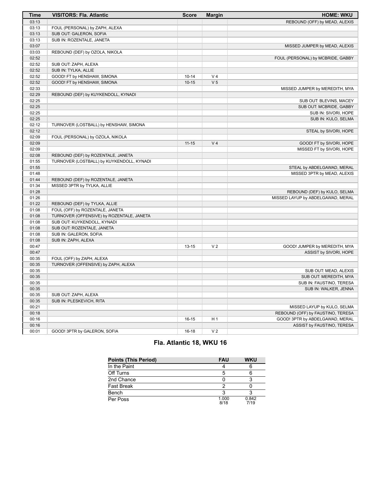| <b>Time</b> | <b>VISITORS: Fla. Atlantic</b>            | <b>Score</b> | <b>Margin</b>  | <b>HOME: WKU</b>                  |
|-------------|-------------------------------------------|--------------|----------------|-----------------------------------|
| 03:13       |                                           |              |                | REBOUND (OFF) by MEAD, ALEXIS     |
| 03:13       | FOUL (PERSONAL) by ZAPH, ALEXA            |              |                |                                   |
| 03:13       | SUB OUT: GALERON, SOFIA                   |              |                |                                   |
| 03:13       | SUB IN: ROZENTALE, JANETA                 |              |                |                                   |
| 03:07       |                                           |              |                | MISSED JUMPER by MEAD, ALEXIS     |
| 03:03       | REBOUND (DEF) by OZOLA, NIKOLA            |              |                |                                   |
| 02:52       |                                           |              |                | FOUL (PERSONAL) by MCBRIDE, GABBY |
| 02:52       | SUB OUT: ZAPH, ALEXA                      |              |                |                                   |
| 02:52       | SUB IN: TYLKA, ALLIE                      |              |                |                                   |
| 02:52       | GOOD! FT by HENSHAW, SIMONA               | $10 - 14$    | V <sub>4</sub> |                                   |
| 02:52       | GOOD! FT by HENSHAW, SIMONA               | $10 - 15$    | V <sub>5</sub> |                                   |
| 02:33       |                                           |              |                | MISSED JUMPER by MEREDITH, MYA    |
| 02:29       | REBOUND (DEF) by KUYKENDOLL, KYNADI       |              |                |                                   |
| 02:25       |                                           |              |                | SUB OUT: BLEVINS, MACEY           |
| 02:25       |                                           |              |                | SUB OUT: MCBRIDE, GABBY           |
| 02:25       |                                           |              |                | SUB IN: SIVORI, HOPE              |
| 02:25       |                                           |              |                | SUB IN: KULO, SELMA               |
| 02:12       | TURNOVER (LOSTBALL) by HENSHAW, SIMONA    |              |                |                                   |
| 02:12       |                                           |              |                | STEAL by SIVORI, HOPE             |
| 02:09       | FOUL (PERSONAL) by OZOLA, NIKOLA          |              |                |                                   |
| 02:09       |                                           | $11 - 15$    | V <sub>4</sub> | GOOD! FT by SIVORI, HOPE          |
| 02:09       |                                           |              |                | MISSED FT by SIVORI, HOPE         |
| 02:08       | REBOUND (DEF) by ROZENTALE, JANETA        |              |                |                                   |
| 01:55       | TURNOVER (LOSTBALL) by KUYKENDOLL, KYNADI |              |                |                                   |
| 01:55       |                                           |              |                | STEAL by ABDELGAWAD, MERAL        |
| 01:48       |                                           |              |                | MISSED 3PTR by MEAD, ALEXIS       |
| 01:44       | REBOUND (DEF) by ROZENTALE, JANETA        |              |                |                                   |
| 01:34       | MISSED 3PTR by TYLKA, ALLIE               |              |                |                                   |
| 01:28       |                                           |              |                | REBOUND (DEF) by KULO, SELMA      |
| 01:26       |                                           |              |                | MISSED LAYUP by ABDELGAWAD, MERAL |
| 01:22       | REBOUND (DEF) by TYLKA, ALLIE             |              |                |                                   |
| 01:08       | FOUL (OFF) by ROZENTALE, JANETA           |              |                |                                   |
| 01:08       | TURNOVER (OFFENSIVE) by ROZENTALE, JANETA |              |                |                                   |
| 01:08       | SUB OUT: KUYKENDOLL, KYNADI               |              |                |                                   |
| 01:08       | SUB OUT: ROZENTALE, JANETA                |              |                |                                   |
| 01:08       | SUB IN: GALERON, SOFIA                    |              |                |                                   |
| 01:08       | SUB IN: ZAPH, ALEXA                       |              |                |                                   |
| 00:47       |                                           | $13 - 15$    | V <sub>2</sub> | GOOD! JUMPER by MEREDITH, MYA     |
| 00:47       |                                           |              |                | ASSIST by SIVORI, HOPE            |
| 00:35       | FOUL (OFF) by ZAPH, ALEXA                 |              |                |                                   |
| 00:35       | TURNOVER (OFFENSIVE) by ZAPH, ALEXA       |              |                |                                   |
| 00:35       |                                           |              |                | SUB OUT: MEAD, ALEXIS             |
| 00:35       |                                           |              |                | SUB OUT: MEREDITH, MYA            |
| 00:35       |                                           |              |                |                                   |
|             |                                           |              |                | SUB IN: FAUSTINO, TERESA          |
| 00:35       |                                           |              |                | SUB IN: WALKER, JENNA             |
| 00:35       | SUB OUT: ZAPH, ALEXA                      |              |                |                                   |
| 00:35       | SUB IN: PLESKEVICH, RITA                  |              |                |                                   |
| 00:21       |                                           |              |                | MISSED LAYUP by KULO, SELMA       |
| 00:18       |                                           |              |                | REBOUND (OFF) by FAUSTINO, TERESA |
| 00:16       |                                           | $16 - 15$    | H <sub>1</sub> | GOOD! 3PTR by ABDELGAWAD, MERAL   |
| 00:16       |                                           |              |                | ASSIST by FAUSTINO, TERESA        |
| 00:01       | GOOD! 3PTR by GALERON, SOFIA              | $16-18$      | V <sub>2</sub> |                                   |

# **Fla. Atlantic 18, WKU 16**

| <b>Points (This Period)</b> | <b>FAU</b>    | <b>WKU</b>    |
|-----------------------------|---------------|---------------|
| In the Paint                |               |               |
| Off Turns                   |               |               |
| 2nd Chance                  |               |               |
| <b>Fast Break</b>           |               |               |
| Bench                       | ິ             |               |
| Per Poss                    | 1.000<br>8/18 | 0.842<br>7/19 |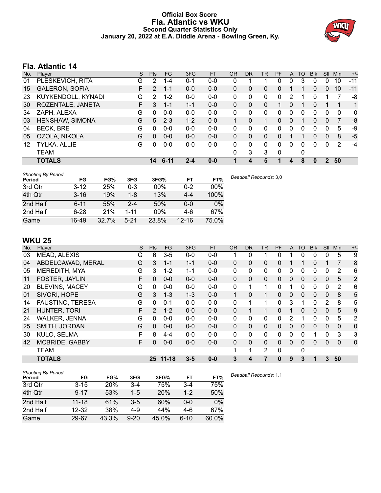# **Official Box Score Fla. Atlantic vs WKU Second Quarter Statistics Only January 20, 2022 at E.A. Diddle Arena - Bowling Green, Ky.**



# **Fla. Atlantic 14**

| No. | Plaver                | S  | <b>Pts</b> | <b>FG</b> | 3FG     | <b>FT</b> | <b>OR</b> | <b>DR</b> | <b>TR</b>    | <b>PF</b>    | $\mathsf{A}$ | TO | <b>B</b> lk  | Stl           | Min | $+/-$       |
|-----|-----------------------|----|------------|-----------|---------|-----------|-----------|-----------|--------------|--------------|--------------|----|--------------|---------------|-----|-------------|
| 01  | PLESKEVICH, RITA      | G  | 2          | 1-4       | $0 - 1$ | $0-0$     | 0         |           |              | 0            | 0            | 3  | 0            | 0             | 10  | $-11$       |
| 15  | <b>GALERON, SOFIA</b> | F. | 2          | $1 - 1$   | $0 - 0$ | $0-0$     | 0         | 0         | 0            | 0            |              |    | 0            | $\Omega$      | 10  | $-11$       |
| 23  | KUYKENDOLL, KYNADI    | G  | 2          | $1 - 2$   | $0 - 0$ | $0-0$     | 0         | 0         | $\mathbf{0}$ | 0            | 2            |    | 0            |               |     | -8          |
| 30  | ROZENTALE, JANETA     | F. | 3          | $1 - 1$   | $1 - 1$ | $0 - 0$   | $\Omega$  | 0         | 0            |              | 0            |    | $\Omega$     |               |     | 1           |
| 34  | ZAPH, ALEXA           | G  | $\Omega$   | $0 - 0$   | $0 - 0$ | $0-0$     | 0         | 0         | 0            | 0            | 0            | ∩  | 0            | 0             | 0   | $\mathbf 0$ |
| 03  | HENSHAW, SIMONA       | G  | 5          | $2 - 3$   | $1 - 2$ | $0 - 0$   |           | 0         | 1.           | 0            | 0            |    | 0            | $\Omega$      | 7   | -8          |
| 04  | <b>BECK, BRE</b>      | G  | $\Omega$   | $0-0$     | $0 - 0$ | $0-0$     | 0         | 0         | 0            | 0            | 0            |    | 0            | 0             | 5   | -9          |
| 05  | OZOLA, NIKOLA         | G  | $\Omega$   | $0 - 0$   | $0 - 0$ | $0 - 0$   | $\Omega$  | 0         | 0            | 0            |              |    | 0            | $\mathbf{0}$  | 8   | -5          |
| 12  | TYLKA, ALLIE          | G  | $\Omega$   | $0-0$     | $0 - 0$ | $0-0$     | 0         | 0         | $\Omega$     | 0            | 0            | 0  | 0            | 0             | 2   | $-4$        |
|     | TEAM                  |    |            |           |         |           | 0         | 3         | 3            | $\mathbf{0}$ |              | 0  |              |               |     |             |
|     | <b>TOTALS</b>         |    | 14         | $6 - 11$  | $2 - 4$ | $0-0$     | 1         | 4         | 5            | 1            | 4            | 8  | $\mathbf{0}$ | $\mathcal{P}$ | 50  |             |

| <b>Shooting By Period</b><br>Period | FG       | FG%   | 3FG      | 3FG%   | FT        | FT%    | Deadball Rebounds: 3,0 |
|-------------------------------------|----------|-------|----------|--------|-----------|--------|------------------------|
| 3rd Qtr                             | $3 - 12$ | 25%   | 0-3      | $00\%$ | 0-2       | $00\%$ |                        |
| 4th Qtr                             | $3 - 16$ | 19%   | 1-8      | 13%    | $4 - 4$   | 100%   |                        |
| 2nd Half                            | $6 - 11$ | 55%   | $2 - 4$  | 50%    | 0-0       | 0%     |                        |
| 2nd Half                            | $6 - 28$ | 21%   | $1 - 11$ | 09%    | 4-6       | 67%    |                        |
| Game                                | 16-49    | 32.7% | $5 - 21$ | 23.8%  | $12 - 16$ | 75.0%  |                        |

# **WKU 25**

| No. | Player                  | S  | Pts            | FG        | 3FG     | <b>FT</b> | <b>OR</b>    | <b>DR</b> | <b>TR</b>      | PF | A            | TO           | <b>Blk</b> | <b>Stl</b>   | Min          | $+/-$       |
|-----|-------------------------|----|----------------|-----------|---------|-----------|--------------|-----------|----------------|----|--------------|--------------|------------|--------------|--------------|-------------|
| 03  | MEAD, ALEXIS            | G  | 6              | $3-5$     | $0-0$   | $0-0$     |              | 0         |                | ი  |              |              |            | 0            | 5            | 9           |
| 04  | ABDELGAWAD, MERAL       | G  | 3              | $1 - 1$   | $1 - 1$ | $0 - 0$   | $\Omega$     | 0         | 0              | 0  |              |              | $\Omega$   |              | 7            | 8           |
| 05  | MEREDITH, MYA           | G  | 3              | $1 - 2$   | $1 - 1$ | $0-0$     | 0            | 0         | 0              | 0  | 0            | 0            | 0          | 0            | 2            | 6           |
| 11  | <b>FOSTER, JAYLIN</b>   | F. | $\Omega$       | $0 - 0$   | $0 - 0$ | $0 - 0$   | $\mathbf{0}$ | $\Omega$  | $\Omega$       | 0  | $\Omega$     | $\Omega$     | $\Omega$   | $\mathbf{0}$ | 5            | 2           |
| 20  | <b>BLEVINS, MACEY</b>   | G  | 0              | $0 - 0$   | $0 - 0$ | $0 - 0$   | 0            | 1         | 1              | 0  |              | $\Omega$     | 0          | 0            | 2            | 6           |
| 01  | SIVORI, HOPE            | G  | 3              | $1 - 3$   | $1 - 3$ | $0 - 0$   | 1            | 0         | $\mathbf 1$    | 0  | $\Omega$     | $\Omega$     | $\Omega$   | $\mathbf{0}$ | 8            | 5           |
| 14  | <b>FAUSTINO, TERESA</b> | G  | 0              | $0 - 1$   | $0 - 0$ | $0-0$     | 0            | 1         | 1              | 0  | 3            | 1            | 0          | 2            | 8            | 5           |
| 21  | HUNTER, TORI            | F  | $\overline{2}$ | $1 - 2$   | $0 - 0$ | $0 - 0$   | $\Omega$     |           | $\mathbf 1$    | 0  |              | $\mathbf{0}$ | 0          | $\mathbf{0}$ | 5            | 9           |
| 24  | <b>WALKER, JENNA</b>    | G  | 0              | $0 - 0$   | $0 - 0$ | $0 - 0$   | 0            | 0         | 0              | 0  | 2            |              | 0          | 0            | 5            | 2           |
| 25  | SMITH, JORDAN           | G  | $\Omega$       | $0 - 0$   | $0 - 0$ | $0 - 0$   | $\mathbf{0}$ | 0         | $\mathbf{0}$   | 0  | $\mathbf{0}$ | $\Omega$     | $\Omega$   | $\Omega$     | $\Omega$     | $\mathbf 0$ |
| 30  | KULO, SELMA             | F  | 8              | $4 - 4$   | $0 - 0$ | $0-0$     | $\Omega$     | 0         | 0              | 0  | 0            | $\Omega$     | 1          | $\Omega$     | 3            | 3           |
| 42  | <b>MCBRIDE, GABBY</b>   | F. | 0              | $0 - 0$   | $0 - 0$ | $0 - 0$   | $\mathbf{0}$ | 0         | 0              | 0  | $\mathbf{0}$ | $\mathbf{0}$ | $\Omega$   | $\mathbf{0}$ | $\mathbf{0}$ | $\mathbf 0$ |
|     | <b>TEAM</b>             |    |                |           |         |           | 1            | 1         | $\overline{2}$ | 0  |              | 0            |            |              |              |             |
|     | <b>TOTALS</b>           |    | 25.            | $11 - 18$ | $3 - 5$ | $0 - 0$   | 3            | 4         |                | 0  | 9            | 3            | 1          | 3            | 50           |             |
|     |                         |    |                |           |         |           |              |           |                |    |              |              |            |              |              |             |

| <b>Shooting By Period</b> |           |            |          |       |         |       |
|---------------------------|-----------|------------|----------|-------|---------|-------|
| Period                    | FG        | FG%        | 3FG      | 3FG%  | FT      | FT%   |
| 3rd Qtr                   | $3 - 15$  | <b>20%</b> | $3-4$    | 75%   | $3-4$   | 75%   |
| 4th Qtr                   | $9 - 17$  | 53%        | $1 - 5$  | 20%   | $1 - 2$ | 50%   |
| 2nd Half                  | $11 - 18$ | 61%        | $3-5$    | 60%   | $0 - 0$ | 0%    |
| 2nd Half                  | 12-32     | 38%        | $4-9$    | 44%   | 4-6     | 67%   |
| Game                      | 29-67     | 43.3%      | $9 - 20$ | 45.0% | $6-10$  | 60.0% |

*Deadball Rebounds:* 1,1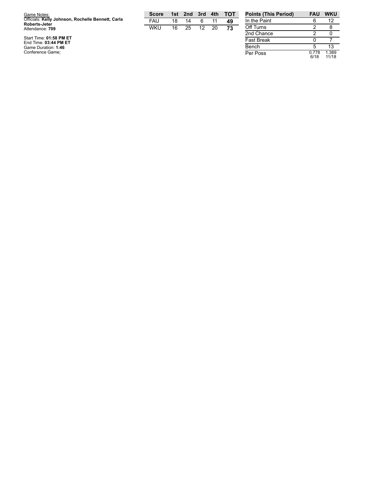| Game Notes:                                                               | <b>Score</b> | 1st. | 2nd | 3rd | 4th | TOT | <b>Points (This Period)</b> | <b>FAU</b> | <b>WKU</b> |
|---------------------------------------------------------------------------|--------------|------|-----|-----|-----|-----|-----------------------------|------------|------------|
| Officials: Kelly Johnson, Rochelle Bennett, Carla<br><b>Roberts-Jeter</b> | FAU          | 18   | 14  |     |     | 49  | In the Paint                |            | 12         |
| Attendance: 709                                                           | <b>WKU</b>   | 16   | 25  | 12  | 20  | 73  | Off Turns                   |            |            |
|                                                                           |              |      |     |     |     |     | 2nd Chance                  |            |            |
| Start Time: 01:58 PM ET<br>End Time: 03:44 PM ET                          |              |      |     |     |     |     | <b>Fast Break</b>           |            |            |
| Game Duration: 1:46                                                       |              |      |     |     |     |     | Bench                       |            | 10         |
| Conference Game:                                                          |              |      |     |     |     |     | Per Poss                    |            | .389       |

2 0  $\begin{array}{c} 0 \\ 5 \end{array}$ 7 5 13 Per Poss 0.7 7 8 6 / 1 8 1.3 8 9 1 1 / 1 8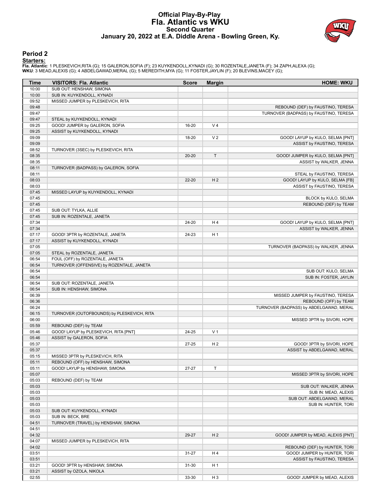# **Official Play-By-Play Fla. Atlantic vs WKU Second Quarter January 20, 2022 at E.A. Diddle Arena - Bowling Green, Ky.**



### **Period 2**

<mark>Starters:</mark><br>Fla. Atlantic: 1 PLESKEVICH,RITA (G); 15 GALERON,SOFIA (F); 23 KUYKENDOLL,KYNADI (G); 30 ROZENTALE,JANETA (F); 34 ZAPH,ALEXA (G);<br>WKU: 3 MEAD,ALEXIS (G); 4 ABDELGAWAD,MERAL (G); 5 MEREDITH,MYA (G); 11 FOSTER,JA

| Time           | <b>VISITORS: Fla. Atlantic</b>             | <b>Score</b> | <b>Margin</b>  | <b>HOME: WKU</b>                        |
|----------------|--------------------------------------------|--------------|----------------|-----------------------------------------|
| 10:00          | SUB OUT: HENSHAW, SIMONA                   |              |                |                                         |
| 10:00          | SUB IN: KUYKENDOLL, KYNADI                 |              |                |                                         |
| 09:52          | MISSED JUMPER by PLESKEVICH, RITA          |              |                |                                         |
| 09:48          |                                            |              |                | REBOUND (DEF) by FAUSTINO, TERESA       |
| 09:47          |                                            |              |                | TURNOVER (BADPASS) by FAUSTINO, TERESA  |
| 09:47          | STEAL by KUYKENDOLL, KYNADI                |              |                |                                         |
| 09:25          | GOOD! JUMPER by GALERON, SOFIA             | 16-20        | V <sub>4</sub> |                                         |
| 09:25          | ASSIST by KUYKENDOLL, KYNADI               |              |                |                                         |
| 09:09          |                                            | 18-20        | V <sub>2</sub> | GOOD! LAYUP by KULO, SELMA [PNT]        |
| 09:09          |                                            |              |                | ASSIST by FAUSTINO, TERESA              |
| 08:52          | TURNOVER (3SEC) by PLESKEVICH, RITA        |              |                |                                         |
| 08:35          |                                            | $20 - 20$    | T              | GOOD! JUMPER by KULO, SELMA [PNT]       |
| 08:35<br>08:11 | TURNOVER (BADPASS) by GALERON, SOFIA       |              |                | ASSIST by WALKER, JENNA                 |
| 08:11          |                                            |              |                | STEAL by FAUSTINO, TERESA               |
| 08:03          |                                            | $22 - 20$    | H <sub>2</sub> | GOOD! LAYUP by KULO, SELMA [FB]         |
| 08:03          |                                            |              |                | ASSIST by FAUSTINO, TERESA              |
| 07:45          | MISSED LAYUP by KUYKENDOLL, KYNADI         |              |                |                                         |
| 07:45          |                                            |              |                | BLOCK by KULO, SELMA                    |
| 07:45          |                                            |              |                | REBOUND (DEF) by TEAM                   |
| 07:45          | SUB OUT: TYLKA, ALLIE                      |              |                |                                         |
| 07:45          | SUB IN: ROZENTALE, JANETA                  |              |                |                                         |
| 07:34          |                                            | 24-20        | H4             | GOOD! LAYUP by KULO, SELMA [PNT]        |
| 07:34          |                                            |              |                | ASSIST by WALKER, JENNA                 |
| 07:17          | GOOD! 3PTR by ROZENTALE, JANETA            | 24-23        | H <sub>1</sub> |                                         |
| 07:17          | ASSIST by KUYKENDOLL, KYNADI               |              |                |                                         |
| 07:05          |                                            |              |                | TURNOVER (BADPASS) by WALKER, JENNA     |
| 07:05          | STEAL by ROZENTALE, JANETA                 |              |                |                                         |
| 06:54          | FOUL (OFF) by ROZENTALE, JANETA            |              |                |                                         |
| 06:54          | TURNOVER (OFFENSIVE) by ROZENTALE, JANETA  |              |                |                                         |
| 06:54          |                                            |              |                | SUB OUT: KULO, SELMA                    |
| 06:54          |                                            |              |                | SUB IN: FOSTER, JAYLIN                  |
| 06:54          | SUB OUT: ROZENTALE, JANETA                 |              |                |                                         |
| 06:54          | SUB IN: HENSHAW, SIMONA                    |              |                |                                         |
| 06:39          |                                            |              |                | MISSED JUMPER by FAUSTINO, TERESA       |
| 06:36          |                                            |              |                | REBOUND (OFF) by TEAM                   |
| 06:24          |                                            |              |                | TURNOVER (BADPASS) by ABDELGAWAD, MERAL |
| 06:15          | TURNOVER (OUTOFBOUNDS) by PLESKEVICH, RITA |              |                |                                         |
| 06:00<br>05:59 | REBOUND (DEF) by TEAM                      |              |                | MISSED 3PTR by SIVORI, HOPE             |
| 05:46          | GOOD! LAYUP by PLESKEVICH, RITA [PNT]      | 24-25        | V <sub>1</sub> |                                         |
| 05:46          | ASSIST by GALERON, SOFIA                   |              |                |                                         |
| 05:37          |                                            | $27 - 25$    | H <sub>2</sub> | GOOD! 3PTR by SIVORI, HOPE              |
| 05:37          |                                            |              |                | ASSIST by ABDELGAWAD, MERAL             |
| 05:15          | MISSED 3PTR by PLESKEVICH, RITA            |              |                |                                         |
| 05:11          | REBOUND (OFF) by HENSHAW, SIMONA           |              |                |                                         |
| 05:11          | GOOD! LAYUP by HENSHAW, SIMONA             | $27 - 27$    | T              |                                         |
| 05:07          |                                            |              |                | MISSED 3PTR by SIVORI, HOPE             |
| 05:03          | REBOUND (DEF) by TEAM                      |              |                |                                         |
| 05:03          |                                            |              |                | SUB OUT: WALKER, JENNA                  |
| 05:03          |                                            |              |                | SUB IN: MEAD, ALEXIS                    |
| 05:03          |                                            |              |                | SUB OUT: ABDELGAWAD, MERAL              |
| 05:03          |                                            |              |                | SUB IN: HUNTER, TORI                    |
| 05:03          | SUB OUT: KUYKENDOLL, KYNADI                |              |                |                                         |
| 05:03          | SUB IN: BECK, BRE                          |              |                |                                         |
| 04:51          | TURNOVER (TRAVEL) by HENSHAW, SIMONA       |              |                |                                         |
| 04:51          |                                            |              |                |                                         |
| 04:32          |                                            | 29-27        | H <sub>2</sub> | GOOD! JUMPER by MEAD, ALEXIS [PNT]      |
| 04:07          | MISSED JUMPER by PLESKEVICH, RITA          |              |                |                                         |
| 04:02          |                                            |              |                | REBOUND (DEF) by HUNTER, TORI           |
| 03:51          |                                            | 31-27        | H4             | GOOD! JUMPER by HUNTER, TORI            |
| 03:51          |                                            |              |                | ASSIST by FAUSTINO, TERESA              |
| 03:21          | GOOD! 3PTR by HENSHAW, SIMONA              | 31-30        | H <sub>1</sub> |                                         |
| 03:21          | ASSIST by OZOLA, NIKOLA                    |              |                |                                         |
| 02:55          |                                            | 33-30        | H <sub>3</sub> | GOOD! JUMPER by MEAD, ALEXIS            |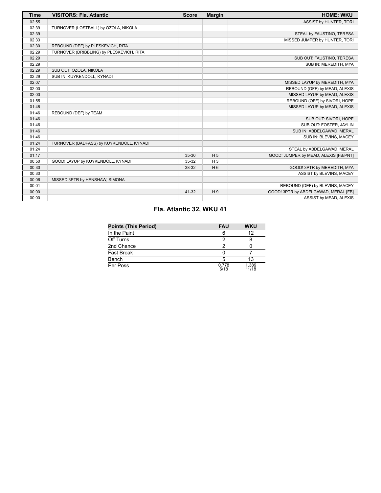| <b>Time</b> | <b>VISITORS: Fla. Atlantic</b>           | <b>Score</b> | <b>Margin</b>  | <b>HOME: WKU</b>                      |
|-------------|------------------------------------------|--------------|----------------|---------------------------------------|
| 02:55       |                                          |              |                | ASSIST by HUNTER, TORI                |
| 02:39       | TURNOVER (LOSTBALL) by OZOLA, NIKOLA     |              |                |                                       |
| 02:39       |                                          |              |                | STEAL by FAUSTINO, TERESA             |
| 02:33       |                                          |              |                | MISSED JUMPER by HUNTER, TORI         |
| 02:30       | REBOUND (DEF) by PLESKEVICH, RITA        |              |                |                                       |
| 02:29       | TURNOVER (DRIBBLING) by PLESKEVICH, RITA |              |                |                                       |
| 02:29       |                                          |              |                | SUB OUT: FAUSTINO, TERESA             |
| 02:29       |                                          |              |                | SUB IN: MEREDITH, MYA                 |
| 02:29       | SUB OUT: OZOLA, NIKOLA                   |              |                |                                       |
| 02:29       | SUB IN: KUYKENDOLL, KYNADI               |              |                |                                       |
| 02:07       |                                          |              |                | MISSED LAYUP by MEREDITH, MYA         |
| 02:00       |                                          |              |                | REBOUND (OFF) by MEAD, ALEXIS         |
| 02:00       |                                          |              |                | MISSED LAYUP by MEAD, ALEXIS          |
| 01:55       |                                          |              |                | REBOUND (OFF) by SIVORI, HOPE         |
| 01:48       |                                          |              |                | MISSED LAYUP by MEAD, ALEXIS          |
| 01:46       | REBOUND (DEF) by TEAM                    |              |                |                                       |
| 01:46       |                                          |              |                | SUB OUT: SIVORI, HOPE                 |
| 01:46       |                                          |              |                | SUB OUT: FOSTER, JAYLIN               |
| 01:46       |                                          |              |                | SUB IN: ABDELGAWAD, MERAL             |
| 01:46       |                                          |              |                | SUB IN: BLEVINS, MACEY                |
| 01:24       | TURNOVER (BADPASS) by KUYKENDOLL, KYNADI |              |                |                                       |
| 01:24       |                                          |              |                | STEAL by ABDELGAWAD, MERAL            |
| 01:17       |                                          | 35-30        | H <sub>5</sub> | GOOD! JUMPER by MEAD, ALEXIS [FB/PNT] |
| 00:50       | GOOD! LAYUP by KUYKENDOLL, KYNADI        | 35-32        | $H_3$          |                                       |
| 00:30       |                                          | 38-32        | H <sub>6</sub> | GOOD! 3PTR by MEREDITH, MYA           |
| 00:30       |                                          |              |                | ASSIST by BLEVINS, MACEY              |
| 00:06       | MISSED 3PTR by HENSHAW, SIMONA           |              |                |                                       |
| 00:01       |                                          |              |                | REBOUND (DEF) by BLEVINS, MACEY       |
| 00:00       |                                          | 41-32        | H <sub>9</sub> | GOOD! 3PTR by ABDELGAWAD, MERAL [FB]  |
| 00:00       |                                          |              |                | ASSIST by MEAD, ALEXIS                |

# **Fla. Atlantic 32, WKU 41**

| <b>Points (This Period)</b> | <b>FAU</b>    | <b>WKU</b>     |  |
|-----------------------------|---------------|----------------|--|
| In the Paint                |               | 12             |  |
| Off Turns                   |               |                |  |
| 2nd Chance                  |               |                |  |
| Fast Break                  |               |                |  |
| Bench                       |               | 13             |  |
| Per Poss                    | 0.778<br>6/18 | 1.389<br>11/18 |  |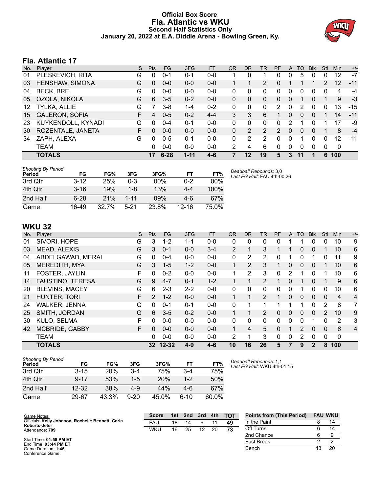# **Official Box Score Fla. Atlantic vs WKU Second Half Statistics Only January 20, 2022 at E.A. Diddle Arena - Bowling Green, Ky.**



# **Fla. Atlantic 17**

| No. | Plaver                | S | <b>Pts</b> | <b>FG</b> | 3FG      | <b>FT</b> | OR | <b>DR</b> | TR | PF       | A | TO       | <b>Blk</b> | Stl | <b>Min</b> | $+/-$ |
|-----|-----------------------|---|------------|-----------|----------|-----------|----|-----------|----|----------|---|----------|------------|-----|------------|-------|
| 01  | PLESKEVICH, RITA      | G | 0          | 0-1       | 0-1      | $0 - 0$   |    | 0         |    | 0        | 0 | 5        | 0          | 0   | 12         | $-7$  |
| 03  | HENSHAW, SIMONA       | G | 0          | $0 - 0$   | $0 - 0$  | $0 - 0$   |    |           | 2  | 0        |   |          |            | 2   | 12         | $-11$ |
| 04  | <b>BECK, BRE</b>      | G | $\Omega$   | $0 - 0$   | $0 - 0$  | $0 - 0$   | 0  | 0         | 0  | $\Omega$ | 0 | 0        | 0          | 0   | 4          | -4    |
| 05  | OZOLA, NIKOLA         | G | 6          | $3-5$     | $0 - 2$  | $0 - 0$   | 0  | 0         | 0  | 0        | 0 |          | 0          | 1   | 9          | -3    |
| 12  | <b>TYLKA, ALLIE</b>   | G |            | 3-8       | 1-4      | $0 - 2$   | 0  | 0         | 0  | 2        | 0 | 2        |            | 0   | 13         | $-15$ |
| 15  | <b>GALERON, SOFIA</b> | F | 4          | $0 - 5$   | $0 - 2$  | $4 - 4$   | 3  | 3         | 6  |          | 0 | 0        | $\Omega$   |     | 14         | $-11$ |
| 23  | KUYKENDOLL, KYNADI    | G | 0          | $0 - 4$   | $0 - 1$  | $0 - 0$   | 0  | 0         | 0  | 0        | 2 |          |            |     | 17         | -9    |
| 30  | ROZENTALE, JANETA     | F | $\Omega$   | $0 - 0$   | $0 - 0$  | $0 - 0$   | 0  | 2         | 2  | 2        | 0 | $\Omega$ | $\Omega$   |     | 8          | $-4$  |
| 34  | ZAPH, ALEXA           | G | $\Omega$   | $0 - 5$   | $0 - 1$  | $0 - 0$   | 0  | 2         | 2  | $\Omega$ | 0 | 1        | 0          | 0   | 12         | $-11$ |
|     | <b>TEAM</b>           |   | 0          | $0 - 0$   | $0 - 0$  | $0 - 0$   | 2  | 4         | 6  | $\Omega$ | 0 | 0        | $\Omega$   | 0   | 0          |       |
|     | <b>TOTALS</b>         |   | 17         | $6 - 28$  | $1 - 11$ | 4-6       |    | 12        | 19 | 5        | 3 | 11       |            | 6   | 100        |       |

| <b>Shooting By Period</b><br>Period | FG.      | FG%      | 3FG      | 3FG%  | FT        | FT%   | Deadball Rebounds: 3,0<br>Last FG Half: FAU 4th-00:26 |
|-------------------------------------|----------|----------|----------|-------|-----------|-------|-------------------------------------------------------|
| 3rd Otr                             | $3 - 12$ | 25%      | 0-3      | 00%   | $0 - 2$   | 00%   |                                                       |
| 4th Otr                             | $3 - 16$ | 19%      | 1-8      | 13%   | 4-4       | 100%  |                                                       |
| 2nd Half                            | $6 - 28$ | 21%      | $1 - 11$ | 09%   | 4-6       | 67%   |                                                       |
| Game                                | 16-49    | $32.7\%$ | $5 - 21$ | 23.8% | $12 - 16$ | 75.0% |                                                       |

# **WKU 32**

| No. | Player                  | S  | <b>Pts</b>    | <b>FG</b> | 3FG     | <b>FT</b> | <b>OR</b>      | <b>DR</b>      | TR             | PF       | A        | TO       | <b>Blk</b>   | Stl      | Min            | $+/-$          |
|-----|-------------------------|----|---------------|-----------|---------|-----------|----------------|----------------|----------------|----------|----------|----------|--------------|----------|----------------|----------------|
| 01  | SIVORI, HOPE            | G  | 3             | $1 - 2$   | 1-1     | $0-0$     | 0              | 0              | $\Omega$       | 0        |          |          | 0            | 0        | 10             | 9              |
| 03  | MEAD, ALEXIS            | G  | 3             | $0 - 1$   | $0 - 0$ | $3 - 4$   | $\overline{2}$ | 1              | 3              |          |          | 0        | $\mathbf{0}$ |          | 10             | 6              |
| 04  | ABDELGAWAD, MERAL       | G  | 0             | $0 - 4$   | $0 - 0$ | $0 - 0$   | 0              | 2              | 2              | $\Omega$ | 1        | 0        |              | 0        | 11             | 9              |
| 05  | MEREDITH, MYA           | G  | 3             | $1 - 5$   | $1 - 2$ | $0 - 0$   | $\mathbf{1}$   | $\overline{2}$ | 3              |          | 0        | 0        | $\mathbf{0}$ |          | 10             | 6              |
| 11  | FOSTER, JAYLIN          | F. | 0             | $0 - 2$   | $0 - 0$ | $0 - 0$   | 1.             | $\overline{2}$ | 3              | $\Omega$ | 2        |          | 0            |          | 10             | 6              |
| 14  | <b>FAUSTINO, TERESA</b> | G  | 9             | $4 - 7$   | $0 - 1$ | $1 - 2$   |                |                | $\overline{2}$ |          | 0        |          | $\mathbf{0}$ |          | 9              | 6              |
| 20  | <b>BLEVINS, MACEY</b>   | G  | 6             | $2 - 3$   | $2 - 2$ | $0 - 0$   | $\Omega$       | 0              | $\Omega$       | $\Omega$ | 0        |          | $\Omega$     | 0        | 10             | 6              |
| 21  | <b>HUNTER, TORI</b>     | F  | $\mathcal{P}$ | $1 - 2$   | $0 - 0$ | $0 - 0$   | 1.             |                | $\overline{2}$ |          | $\Omega$ | $\Omega$ | $\mathbf{0}$ | $\Omega$ | $\overline{4}$ | 4              |
| 24  | <b>WALKER, JENNA</b>    | G  | 0             | $0 - 1$   | $0 - 1$ | $0 - 0$   | 0              |                |                |          | 1        |          | $\Omega$     | 2        | 8              | 7              |
| 25  | SMITH, JORDAN           | G  | 6             | $3 - 5$   | $0 - 2$ | $0 - 0$   | $\mathbf{1}$   |                | $\overline{2}$ | $\Omega$ | $\Omega$ | 0        | $\Omega$     | 2        | 10             | 9              |
| 30  | KULO, SELMA             | F  | 0             | $0 - 0$   | $0 - 0$ | $0 - 0$   | 0              | 0              | $\Omega$       | 0        | $\Omega$ | 0        |              | 0        | 2              | 3              |
| 42  | <b>MCBRIDE, GABBY</b>   | F  | 0             | $0 - 0$   | $0 - 0$ | $0 - 0$   | $\mathbf{1}$   | 4              | 5              | $\Omega$ | 1        | 2        | $\Omega$     | $\Omega$ | 6              | $\overline{4}$ |
|     | <b>TEAM</b>             |    | 0             | $0 - 0$   | $0 - 0$ | $0 - 0$   | 2              |                | 3              | 0        | 0        | 2        | 0            | 0        | $\mathbf 0$    |                |
|     | <b>TOTALS</b>           |    |               | 32 12-32  | $4 - 9$ | $4-6$     | 10             | 16             | 26             | 5        | 7        | 9        | $\mathbf{2}$ | 8        | 100            |                |

**Score 1st 2nd 3rd 4th TOT** FAU 18 14 6 11 **49**

12 20 73

| <b>Shooting By Period</b><br>Period | FG        | FG%        | 3FG      | 3FG%  | FT      | FT%   | Deadball Rebounds: 1,1<br>Last FG Half: WKU 4th-01:15 |
|-------------------------------------|-----------|------------|----------|-------|---------|-------|-------------------------------------------------------|
| 3rd Qtr                             | $3 - 15$  | <b>20%</b> | $3 - 4$  | 75%   | $3 - 4$ | 75%   |                                                       |
| 4th Otr                             | $9 - 17$  | 53%        | $1-5$    | 20%   | $1-2$   | 50%   |                                                       |
| 2nd Half                            | $12 - 32$ | 38%        | $4-9$    | 44%   | $4-6$   | 67%   |                                                       |
| Game                                | 29-67     | 43.3%      | $9 - 20$ | 45.0% | $6-10$  | 60.0% |                                                       |

| <b>Points from (This Period)</b> |    | <b>FAU WKU</b> |
|----------------------------------|----|----------------|
| In the Paint                     |    | 14             |
| Off Turns                        | հ  | 14             |
| 2nd Chance                       | հ  |                |
| <b>Fast Break</b>                |    |                |
| Bench                            | 13 | 20             |

Start Time: **01:58 PM ET** End Time: **03:44 PM ET** Game Duration: **1:46** Conference Game;

Attendance: **709**

Game Notes: Officials: **Kelly Johnson, Rochelle Bennett, Carla Roberts-Jeter**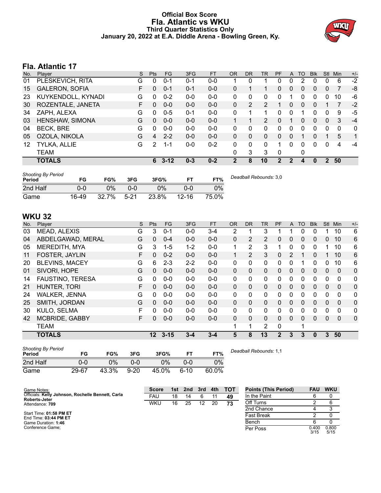# **Official Box Score Fla. Atlantic vs WKU Third Quarter Statistics Only January 20, 2022 at E.A. Diddle Arena - Bowling Green, Ky.**



# **Fla. Atlantic 17**

| No. | Plaver                | S  | Pts | <b>FG</b> | 3FG     | <b>FT</b> | <b>OR</b> | <b>DR</b> | <b>TR</b>      | PF | A            | <b>TO</b> | <b>Blk</b> | <b>Stl</b>    | Min         | $+/-$        |
|-----|-----------------------|----|-----|-----------|---------|-----------|-----------|-----------|----------------|----|--------------|-----------|------------|---------------|-------------|--------------|
| 01  | PLESKEVICH, RITA      | G  | 0   | $0 - 1$   | $0 - 1$ | $0-0$     |           | 0         |                | 0  | 0            | っ         | 0          | 0             | 6           | $-2$         |
| 15  | <b>GALERON, SOFIA</b> | F. | 0   | $0 - 1$   | $0 - 1$ | $0 - 0$   | 0         |           |                | 0  | $\mathbf{0}$ | $\Omega$  | 0          | $\mathbf{0}$  | 7           | -8           |
| 23  | KUYKENDOLL, KYNADI    | G  | 0   | $0 - 2$   | $0 - 0$ | $0-0$     | 0         | 0         | 0              | 0  |              | 0         | 0          | 0             | 10          | -6           |
| 30  | ROZENTALE, JANETA     | F. | 0   | $0 - 0$   | $0 - 0$ | $0-0$     | $\Omega$  | 2         | 2              |    | 0            | 0         | 0          |               |             | $-2$         |
| 34  | ZAPH, ALEXA           | G  | 0   | $0 - 5$   | $0 - 1$ | $0-0$     | 0         |           | 1              | n  | 0            |           |            | 0             | 9           | -5           |
| 03  | HENSHAW, SIMONA       | G  | 0   | $0 - 0$   | $0 - 0$ | $0-0$     |           |           | $\overline{2}$ | 0  |              | 0         | 0          | $\mathbf{0}$  | 3           | $-4$         |
| 04  | <b>BECK, BRE</b>      | G  | 0   | $0 - 0$   | $0 - 0$ | $0-0$     | 0         | 0         | 0              | 0  | 0            | 0         | 0          | 0             | $\mathbf 0$ | $\mathbf{0}$ |
| 05  | OZOLA, NIKOLA         | G  | 4   | $2 - 2$   | $0 - 0$ | $0 - 0$   | $\Omega$  | 0         | 0              | 0  | $\Omega$     |           | 0          |               | 5           | 1            |
| 12  | TYLKA, ALLIE          | G  | 2   | 1-1       | $0 - 0$ | $0 - 2$   | 0         | 0         | 0              |    | 0            | 0         | 0          | 0             | 4           | -4           |
|     | <b>TEAM</b>           |    |     |           |         |           | 0         | 3         | 3              | 0  |              | 0         |            |               |             |              |
|     | <b>TOTALS</b>         |    | 6   | $3 - 12$  | $0 - 3$ | $0 - 2$   | 2         | 8         | 10             | 2  | 2            | 4         | 0          | $\mathcal{P}$ | 50          |              |

| <b>Shooting By Period</b><br>Period | FG    | FG%   | 3FG      | 3FG%  |           | FT%   | Deadball Rebounds: 3,0 |
|-------------------------------------|-------|-------|----------|-------|-----------|-------|------------------------|
| 2nd Half                            | 0-0   | 0%    | 0-0      | $0\%$ | ი ი       | 0%    |                        |
| Game                                | 16-49 | 32.7% | $5 - 21$ | 23.8% | $12 - 16$ | 75.0% |                        |

# **WKU 32**

| No. | <b>Plaver</b>           | S  | Pts      | FG.      | 3FG     | <b>FT</b> | <b>OR</b> | D <sub>R</sub> | TR           | PF             | A            | TO       | <b>B</b> lk | Stl          | Min            | $+/-$          |
|-----|-------------------------|----|----------|----------|---------|-----------|-----------|----------------|--------------|----------------|--------------|----------|-------------|--------------|----------------|----------------|
| 03  | <b>MEAD, ALEXIS</b>     | G  | 3        | $0 - 1$  | $0 - 0$ | $3 - 4$   | 2         |                | 3            |                |              | $\Omega$ | 0           |              | 10             | 6              |
| 04  | ABDELGAWAD, MERAL       | G  | 0        | $0 - 4$  | $0 - 0$ | $0 - 0$   | $\Omega$  | 2              | 2            | 0              | 0            | $\Omega$ | 0           | 0            | 10             | 6              |
| 05  | <b>MEREDITH, MYA</b>    | G  | 3        | $1 - 5$  | $1 - 2$ | $0 - 0$   | 1         | $\overline{2}$ | 3            | 1              | 0            | $\Omega$ | 0           |              | 10             | 6              |
| 11  | FOSTER, JAYLIN          | F  | $\Omega$ | $0 - 2$  | $0 - 0$ | $0 - 0$   | 1         | $\overline{2}$ | 3            | $\Omega$       | 2            |          | $\Omega$    |              | 10             | 6              |
| 20  | <b>BLEVINS, MACEY</b>   | G  | 6        | $2 - 3$  | $2 - 2$ | $0 - 0$   | $\Omega$  | $\Omega$       | $\mathbf{0}$ | 0              | $\Omega$     |          | 0           | 0            | 10             | 6              |
| 01  | SIVORI, HOPE            | G  | 0        | $0 - 0$  | $0 - 0$ | $0 - 0$   | $\Omega$  | $\Omega$       | 0            | 0              | $\mathbf{0}$ | $\Omega$ | $\Omega$    | $\mathbf{0}$ | $\Omega$       | 0              |
| 14  | <b>FAUSTINO, TERESA</b> | G  | $\Omega$ | $0 - 0$  | $0 - 0$ | $0 - 0$   | 0         | $\Omega$       | 0            | 0              | 0            | $\Omega$ | 0           | $\Omega$     | 0              | 0              |
| 21  | HUNTER, TORI            | F  | $\Omega$ | $0 - 0$  | $0 - 0$ | $0 - 0$   | $\Omega$  | $\Omega$       | 0            | 0              | $\Omega$     | $\Omega$ | $\Omega$    | $\Omega$     | $\overline{0}$ | $\overline{0}$ |
| 24  | <b>WALKER, JENNA</b>    | G  | 0        | $0 - 0$  | $0 - 0$ | $0 - 0$   | $\Omega$  | $\Omega$       | 0            | 0              | 0            | $\Omega$ | 0           | 0            | $\Omega$       | 0              |
| 25  | SMITH, JORDAN           | G  | $\Omega$ | $0 - 0$  | $0 - 0$ | $0 - 0$   | $\Omega$  | $\Omega$       | 0            | 0              | 0            | $\Omega$ | $\Omega$    | $\Omega$     | $\Omega$       | $\overline{0}$ |
| 30  | KULO, SELMA             | F. | 0        | $0 - 0$  | $0 - 0$ | $0 - 0$   | 0         | $\Omega$       | 0            | 0              | 0            | $\Omega$ | 0           | 0            | 0              | 0              |
| 42  | <b>MCBRIDE, GABBY</b>   | F  | 0        | $0 - 0$  | $0-0$   | $0 - 0$   | $\Omega$  | $\Omega$       | 0            | 0              | 0            | $\Omega$ | 0           | $\Omega$     | $\mathbf{0}$   | $\mathbf{0}$   |
|     | <b>TEAM</b>             |    |          |          |         |           |           | 1              | 2            | 0              |              | 1        |             |              |                |                |
|     | <b>TOTALS</b>           |    | $12 \,$  | $3 - 15$ | $3 - 4$ | $3 - 4$   | 5         | 8              | 13           | $\overline{2}$ | 3            | 3        | 0           | 3            | 50             |                |

| <b>Shooting By Period</b><br>Period | FG    | FG%   | 3FG      | 3FG%  | FТ   | FT%   | Deadball Rebounds: 1,1 |
|-------------------------------------|-------|-------|----------|-------|------|-------|------------------------|
| 2nd Half                            | 0-0   | $0\%$ | ი-ი      | $0\%$ | ი-ი  | $0\%$ |                        |
| Game                                | 29-67 | 43.3% | $9 - 20$ | 45.0% | 6-10 | 60.0% |                        |

| Game Notes:                                                               | <b>Score</b> |    | 1st 2nd | 3rd | 4th | <b>TOT</b> | <b>Points (This Period)</b> | <b>FAU</b>    | <b>WKU</b>    |
|---------------------------------------------------------------------------|--------------|----|---------|-----|-----|------------|-----------------------------|---------------|---------------|
| Officials: Kelly Johnson, Rochelle Bennett, Carla<br><b>Roberts-Jeter</b> | FAU          | 18 | 14      |     |     | 49         | In the Paint                | 6             |               |
| Attendance: 709                                                           | <b>WKU</b>   | 16 | 25      | 12  | 20  | 73         | Off Turns                   |               |               |
|                                                                           |              |    |         |     |     |            | 2nd Chance                  |               |               |
| Start Time: 01:58 PM ET<br>End Time: 03:44 PM ET                          |              |    |         |     |     |            | <b>Fast Break</b>           |               |               |
| Game Duration: 1:46                                                       |              |    |         |     |     |            | Bench                       |               |               |
| Conference Game:                                                          |              |    |         |     |     |            | Per Poss                    | 0.400<br>3/15 | 0.800<br>5/15 |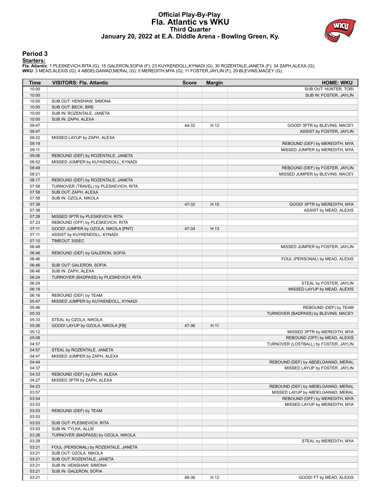# **Official Play-By-Play Fla. Atlantic vs WKU Third Quarter January 20, 2022 at E.A. Diddle Arena - Bowling Green, Ky.**



### **Period 3**

<mark>Starters:</mark><br>Fla. Atlantic: 1 PLESKEVICH,RITA (G); 15 GALERON,SOFIA (F); 23 KUYKENDOLL,KYNADI (G); 30 ROZENTALE,JANETA (F); 34 ZAPH,ALEXA (G);<br>WKU: 3 MEAD,ALEXIS (G); 4 ABDELGAWAD,MERAL (G); 5 MEREDITH,MYA (G); 11 FOSTER,JA

| Time           | <b>VISITORS: Fla. Atlantic</b>         | <b>Score</b> | <b>Margin</b> | <b>HOME: WKU</b>                                              |
|----------------|----------------------------------------|--------------|---------------|---------------------------------------------------------------|
| 10:00          |                                        |              |               | SUB OUT: HUNTER, TORI                                         |
| 10:00          |                                        |              |               | SUB IN: FOSTER, JAYLIN                                        |
| 10:00          | SUB OUT: HENSHAW, SIMONA               |              |               |                                                               |
| 10:00          | SUB OUT: BECK, BRE                     |              |               |                                                               |
| 10:00          | SUB IN: ROZENTALE, JANETA              |              |               |                                                               |
| 10:00          | SUB IN: ZAPH, ALEXA                    |              |               |                                                               |
| 09:47          |                                        | 44-32        | H 12          | GOOD! 3PTR by BLEVINS, MACEY                                  |
| 09:47          |                                        |              |               | ASSIST by FOSTER, JAYLIN                                      |
| 09:22<br>09:19 | MISSED LAYUP by ZAPH, ALEXA            |              |               |                                                               |
| 09:11          |                                        |              |               | REBOUND (DEF) by MEREDITH, MYA                                |
| 09:06          | REBOUND (DEF) by ROZENTALE, JANETA     |              |               | MISSED JUMPER by MEREDITH, MYA                                |
| 08:52          | MISSED JUMPER by KUYKENDOLL, KYNADI    |              |               |                                                               |
| 08:49          |                                        |              |               | REBOUND (DEF) by FOSTER, JAYLIN                               |
| 08:21          |                                        |              |               | MISSED JUMPER by BLEVINS, MACEY                               |
| 08:17          | REBOUND (DEF) by ROZENTALE, JANETA     |              |               |                                                               |
| 07:58          | TURNOVER (TRAVEL) by PLESKEVICH, RITA  |              |               |                                                               |
| 07:58          | SUB OUT: ZAPH, ALEXA                   |              |               |                                                               |
| 07:58          | SUB IN: OZOLA, NIKOLA                  |              |               |                                                               |
| 07:38          |                                        | 47-32        | H 15          | GOOD! 3PTR by MEREDITH, MYA                                   |
| 07:38          |                                        |              |               | ASSIST by MEAD, ALEXIS                                        |
| 07:28          | MISSED 3PTR by PLESKEVICH, RITA        |              |               |                                                               |
| 07:23          | REBOUND (OFF) by PLESKEVICH, RITA      |              |               |                                                               |
| 07:11          | GOOD! JUMPER by OZOLA, NIKOLA [PNT]    | 47-34        | H 13          |                                                               |
| 07:11          | ASSIST by KUYKENDOLL, KYNADI           |              |               |                                                               |
| 07:10          | TIMEOUT 30SEC                          |              |               |                                                               |
| 06:48          |                                        |              |               | MISSED JUMPER by FOSTER, JAYLIN                               |
| 06:46          | REBOUND (DEF) by GALERON, SOFIA        |              |               |                                                               |
| 06:46          |                                        |              |               | FOUL (PERSONAL) by MEAD, ALEXIS                               |
| 06:46          | SUB OUT: GALERON, SOFIA                |              |               |                                                               |
| 06:46          | SUB IN: ZAPH, ALEXA                    |              |               |                                                               |
| 06:24          | TURNOVER (BADPASS) by PLESKEVICH, RITA |              |               |                                                               |
| 06:24          |                                        |              |               | STEAL by FOSTER, JAYLIN                                       |
| 06:18          |                                        |              |               | MISSED LAYUP by MEAD, ALEXIS                                  |
| 06:16          | REBOUND (DEF) by TEAM                  |              |               |                                                               |
| 05:47<br>05:46 | MISSED JUMPER by KUYKENDOLL, KYNADI    |              |               |                                                               |
| 05:33          |                                        |              |               | REBOUND (DEF) by TEAM<br>TURNOVER (BADPASS) by BLEVINS, MACEY |
| 05:33          | STEAL by OZOLA, NIKOLA                 |              |               |                                                               |
| 05:26          | GOOD! LAYUP by OZOLA, NIKOLA [FB]      | 47-36        | H 11          |                                                               |
| 05:12          |                                        |              |               | MISSED 3PTR by MEREDITH, MYA                                  |
| 05:08          |                                        |              |               | REBOUND (OFF) by MEAD, ALEXIS                                 |
| 04:57          |                                        |              |               | TURNOVER (LOSTBALL) by FOSTER, JAYLIN                         |
| 04:57          | STEAL by ROZENTALE, JANETA             |              |               |                                                               |
| 04:47          | MISSED JUMPER by ZAPH, ALEXA           |              |               |                                                               |
| 04:44          |                                        |              |               | REBOUND (DEF) by ABDELGAWAD, MERAL                            |
| 04:37          |                                        |              |               | MISSED LAYUP by FOSTER, JAYLIN                                |
| 04:33          | REBOUND (DEF) by ZAPH, ALEXA           |              |               |                                                               |
| 04:27          | MISSED 3PTR by ZAPH, ALEXA             |              |               |                                                               |
| 04:23          |                                        |              |               | REBOUND (DEF) by ABDELGAWAD, MERAL                            |
| 03:57          |                                        |              |               | MISSED LAYUP by ABDELGAWAD, MERAL                             |
| 03:54          |                                        |              |               | REBOUND (OFF) by MEREDITH, MYA                                |
| 03:53          |                                        |              |               | MISSED LAYUP by MEREDITH, MYA                                 |
| 03:53          | REBOUND (DEF) by TEAM                  |              |               |                                                               |
| 03:53          |                                        |              |               |                                                               |
| 03:53          | SUB OUT: PLESKEVICH, RITA              |              |               |                                                               |
| 03:53          | SUB IN: TYLKA, ALLIE                   |              |               |                                                               |
| 03:28          | TURNOVER (BADPASS) by OZOLA, NIKOLA    |              |               |                                                               |
| 03:28          |                                        |              |               | STEAL by MEREDITH, MYA                                        |
| 03:21          | FOUL (PERSONAL) by ROZENTALE, JANETA   |              |               |                                                               |
| 03:21          | SUB OUT: OZOLA, NIKOLA                 |              |               |                                                               |
| 03:21          | SUB OUT: ROZENTALE, JANETA             |              |               |                                                               |
| 03:21          | SUB IN: HENSHAW, SIMONA                |              |               |                                                               |
| 03:21          | SUB IN: GALERON, SOFIA                 | 48-36        | H 12          |                                                               |
| 03:21          |                                        |              |               | GOOD! FT by MEAD, ALEXIS                                      |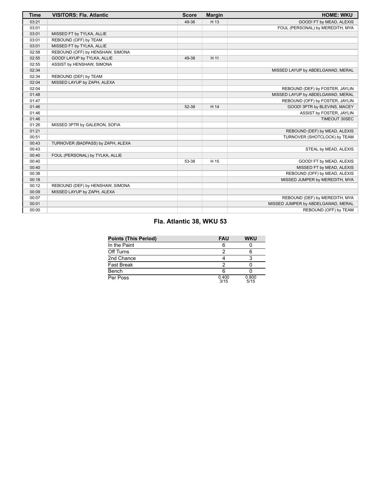| <b>Time</b> | <b>VISITORS: Fla. Atlantic</b>    | <b>Score</b> | <b>Margin</b> | <b>HOME: WKU</b>                   |
|-------------|-----------------------------------|--------------|---------------|------------------------------------|
| 03:21       |                                   | 49-36        | H 13          | GOOD! FT by MEAD, ALEXIS           |
| 03:01       |                                   |              |               | FOUL (PERSONAL) by MEREDITH, MYA   |
| 03:01       | MISSED FT by TYLKA, ALLIE         |              |               |                                    |
| 03:01       | REBOUND (OFF) by TEAM             |              |               |                                    |
| 03:01       | MISSED FT by TYLKA, ALLIE         |              |               |                                    |
| 02:58       | REBOUND (OFF) by HENSHAW, SIMONA  |              |               |                                    |
| 02:55       | GOOD! LAYUP by TYLKA, ALLIE       | 49-38        | H 11          |                                    |
| 02:55       | ASSIST by HENSHAW, SIMONA         |              |               |                                    |
| 02:34       |                                   |              |               | MISSED LAYUP by ABDELGAWAD, MERAL  |
| 02:34       | REBOUND (DEF) by TEAM             |              |               |                                    |
| 02:04       | MISSED LAYUP by ZAPH, ALEXA       |              |               |                                    |
| 02:04       |                                   |              |               | REBOUND (DEF) by FOSTER, JAYLIN    |
| 01:48       |                                   |              |               | MISSED LAYUP by ABDELGAWAD, MERAL  |
| 01:47       |                                   |              |               | REBOUND (OFF) by FOSTER, JAYLIN    |
| 01:46       |                                   | 52-38        | H 14          | GOOD! 3PTR by BLEVINS, MACEY       |
| 01:46       |                                   |              |               | ASSIST by FOSTER, JAYLIN           |
| 01:46       |                                   |              |               | TIMEOUT 30SEC                      |
| 01:26       | MISSED 3PTR by GALERON, SOFIA     |              |               |                                    |
| 01:21       |                                   |              |               | REBOUND (DEF) by MEAD, ALEXIS      |
| 00:51       |                                   |              |               | TURNOVER (SHOTCLOCK) by TEAM       |
| 00:43       | TURNOVER (BADPASS) by ZAPH, ALEXA |              |               |                                    |
| 00:43       |                                   |              |               | STEAL by MEAD, ALEXIS              |
| 00:40       | FOUL (PERSONAL) by TYLKA, ALLIE   |              |               |                                    |
| 00:40       |                                   | 53-38        | H 15          | GOOD! FT by MEAD, ALEXIS           |
| 00:40       |                                   |              |               | MISSED FT by MEAD, ALEXIS          |
| 00:38       |                                   |              |               | REBOUND (OFF) by MEAD, ALEXIS      |
| 00:18       |                                   |              |               | MISSED JUMPER by MEREDITH, MYA     |
| 00:12       | REBOUND (DEF) by HENSHAW, SIMONA  |              |               |                                    |
| 00:09       | MISSED LAYUP by ZAPH, ALEXA       |              |               |                                    |
| 00:07       |                                   |              |               | REBOUND (DEF) by MEREDITH, MYA     |
| 00:01       |                                   |              |               | MISSED JUMPER by ABDELGAWAD, MERAL |
| 00:00       |                                   |              |               | REBOUND (OFF) by TEAM              |

# **Fla. Atlantic 38, WKU 53**

| <b>Points (This Period)</b> | <b>FAU</b>    | <b>WKU</b>    |
|-----------------------------|---------------|---------------|
| In the Paint                |               |               |
| Off Turns                   |               |               |
| 2nd Chance                  |               |               |
| <b>Fast Break</b>           |               |               |
| Bench                       |               |               |
| Per Poss                    | 0.400<br>3/15 | 0.800<br>5/15 |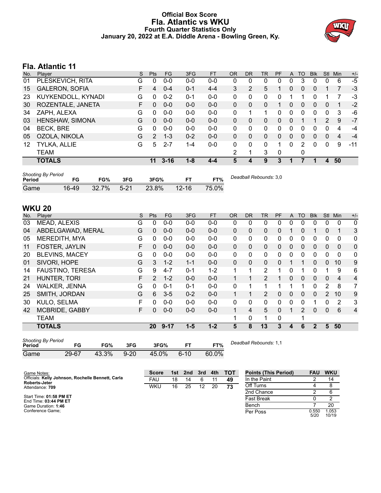# **Official Box Score Fla. Atlantic vs WKU Fourth Quarter Statistics Only January 20, 2022 at E.A. Diddle Arena - Bowling Green, Ky.**



# **Fla. Atlantic 11**

| No. | Player                | S  | <b>Pts</b>   | FG       | 3FG     | <b>FT</b> | 0R             | DR | <b>TR</b>    | <b>PF</b> | A            | TO       | <b>B</b> lk | <b>Stl</b> | Min                     | $+/-$ |
|-----|-----------------------|----|--------------|----------|---------|-----------|----------------|----|--------------|-----------|--------------|----------|-------------|------------|-------------------------|-------|
| 01  | PLESKEVICH, RITA      | G  | 0            | $0 - 0$  | $0 - 0$ | $0-0$     | 0              | 0  | 0            | 0         | 0            | 3        | 0           | 0          | 6                       | $-5$  |
| 15  | <b>GALERON, SOFIA</b> | F. | 4            | $0 - 4$  | $0 - 1$ | $4 - 4$   | 3              | 2  | 5            |           | 0            | $\Omega$ | 0           |            | 7                       | $-3$  |
| 23  | KUYKENDOLL, KYNADI    | G  | 0            | $0 - 2$  | $0 - 1$ | $0-0$     | $\Omega$       | 0  | 0            | 0         |              |          | $\Omega$    |            |                         | -3    |
| 30  | ROZENTALE, JANETA     | F. | 0            | $0 - 0$  | $0 - 0$ | $0 - 0$   | $\Omega$       | 0  | 0            |           | 0            | $\Omega$ | $\Omega$    | $\Omega$   |                         | $-2$  |
| 34  | ZAPH, ALEXA           | G  | 0            | $0-0$    | $0-0$   | $0-0$     | 0              |    | 1            | 0         | 0            | 0        | 0           | 0          | 3                       | -6    |
| 03  | HENSHAW, SIMONA       | G  | 0            | $0 - 0$  | $0 - 0$ | $0-0$     | $\mathbf{0}$   | 0  | 0            | 0         | $\mathbf{0}$ |          |             | 2          | 9                       | $-7$  |
| 04  | <b>BECK, BRE</b>      | G  | <sup>0</sup> | $0-0$    | $0 - 0$ | $0-0$     | 0              | 0  | 0            | 0         | 0            |          | 0           | 0          | 4                       | -4    |
| 05  | OZOLA, NIKOLA         | G  | 2            | $1 - 3$  | $0 - 2$ | $0-0$     | $\Omega$       | 0  | $\mathbf{0}$ | 0         | 0            | $\Omega$ | 0           | $\Omega$   | $\overline{\mathbf{4}}$ | $-4$  |
| 12  | TYLKA, ALLIE          | G  | 5            | $2 - 7$  | $1 - 4$ | $0 - 0$   | $\Omega$       | 0  | 0            | 1         | $\Omega$     | 2        | 0           | 0          | 9                       | $-11$ |
|     | <b>TEAM</b>           |    |              |          |         |           | $\overline{2}$ | 1  | 3            | 0         |              | 0        |             |            |                         |       |
|     | <b>TOTALS</b>         |    | 11           | $3 - 16$ | $1 - 8$ | $4 - 4$   | 5              | 4  | 9            | 3         |              |          | 1           | 4          | 50                      |       |

| <b>Shooting By Period</b><br>Period | FG    | FG%      | 3FG      | 3FG%  | EТ        | FT%   | Deadball Rebounds: 3,0 |
|-------------------------------------|-------|----------|----------|-------|-----------|-------|------------------------|
| Game                                | 16-49 | $32.7\%$ | $5 - 21$ | 23.8% | $12 - 16$ | 75.0% |                        |

# **WKU 20**

| No. | Player                  | S | <b>Pts</b>     | <b>FG</b> | 3FG     | <b>FT</b> | <b>OR</b> | <b>DR</b>    | TR             | PF       | A            | <b>TO</b>    | <b>Blk</b>   | <b>Stl</b>     | Min      | $+/-$ |
|-----|-------------------------|---|----------------|-----------|---------|-----------|-----------|--------------|----------------|----------|--------------|--------------|--------------|----------------|----------|-------|
| 03  | <b>MEAD, ALEXIS</b>     | G | 0              | $0 - 0$   | $0 - 0$ | $0 - 0$   | 0         | 0            | 0              | 0        | 0            | 0            | 0            | 0              | 0        | 0     |
| 04  | ABDELGAWAD, MERAL       | G | 0              | $0 - 0$   | $0 - 0$ | $0 - 0$   | 0         | $\mathbf{0}$ | 0              | 0        |              | 0            |              | $\mathbf{0}$   | 1        | 3     |
| 05  | MEREDITH, MYA           | G | 0              | $0 - 0$   | $0-0$   | $0 - 0$   | 0         | $\mathbf{0}$ | 0              | 0        | 0            | 0            | 0            | 0              | 0        | 0     |
| 11  | FOSTER, JAYLIN          | F | $\Omega$       | $0 - 0$   | $0 - 0$ | $0 - 0$   | $\Omega$  | $\mathbf{0}$ | 0              | 0        | $\Omega$     | 0            | 0            | $\Omega$       | $\Omega$ | 0     |
| 20  | <b>BLEVINS, MACEY</b>   | G | 0              | $0 - 0$   | $0-0$   | $0 - 0$   | 0         | $\mathbf{0}$ | 0              | 0        | $\mathbf{0}$ | 0            | 0            | $\mathbf{0}$   | 0        | 0     |
| 01  | SIVORI, HOPE            | G | 3              | $1 - 2$   | $1 - 1$ | $0 - 0$   | $\Omega$  | $\Omega$     | $\Omega$       | $\Omega$ |              | 1            | $\Omega$     | $\Omega$       | 10       | 9     |
| 14  | <b>FAUSTINO, TERESA</b> | G | 9              | $4 - 7$   | $0 - 1$ | $1 - 2$   | 1         | 1            | $\overline{2}$ |          | 0            |              | 0            |                | 9        | 6     |
| 21  | HUNTER, TORI            | F | $\overline{2}$ | $1 - 2$   | $0 - 0$ | $0 - 0$   | 1         |              | $\overline{2}$ | 1        | $\Omega$     | $\mathbf{0}$ | 0            | $\Omega$       | 4        | 4     |
| 24  | <b>WALKER, JENNA</b>    | G | 0              | $0 - 1$   | $0 - 1$ | $0 - 0$   | 0         | 1            | 1              |          |              |              | 0            | 2              | 8        | 7     |
| 25  | SMITH, JORDAN           | G | 6              | $3 - 5$   | $0 - 2$ | $0 - 0$   |           |              | 2              | 0        | $\mathbf{0}$ | 0            | 0            | $\overline{2}$ | 10       | 9     |
| 30  | KULO, SELMA             | F | 0              | $0 - 0$   | $0 - 0$ | $0 - 0$   | 0         | $\mathbf{0}$ | 0              | 0        | $\Omega$     | 0            |              | 0              | 2        | 3     |
| 42  | <b>MCBRIDE, GABBY</b>   | F | 0              | $0 - 0$   | $0 - 0$ | $0 - 0$   | 1         | 4            | 5              | $\Omega$ |              | 2            | 0            | $\Omega$       | 6        | 4     |
|     | <b>TEAM</b>             |   |                |           |         |           | 1         | $\mathbf{0}$ | 1              | 0        |              | 4            |              |                |          |       |
|     | <b>TOTALS</b>           |   | <b>20</b>      | $9 - 17$  | $1 - 5$ | $1 - 2$   | 5         | 8            | 13             | 3        | 4            | 6            | $\mathbf{2}$ | 5              | 50       |       |
|     |                         |   |                |           |         |           |           |              |                |          |              |              |              |                |          |       |

| <b>Shooting By Period</b><br>Period | FG    | FG%   | 3FG      | 3FG%  | FТ       | FT%   | Deadball Rebounds: 1,1 |
|-------------------------------------|-------|-------|----------|-------|----------|-------|------------------------|
| Game                                | 29-67 | 43.3% | $9 - 20$ | 45.0% | $6 - 10$ | 60.0% |                        |

| Game Notes:                                                               | Score      | 1st | 2nd | 3rd | 4th | - тот | <b>Points (This Period)</b> | <b>FAU</b>    | <b>WKU</b>     |
|---------------------------------------------------------------------------|------------|-----|-----|-----|-----|-------|-----------------------------|---------------|----------------|
| Officials: Kelly Johnson, Rochelle Bennett, Carla<br><b>Roberts-Jeter</b> | FAU        | 18  | 14  | 6   |     | 49    | In the Paint                |               | 14             |
| Attendance: 709                                                           | <b>WKU</b> | 16  | 25  | 12  | 20  | 73    | Off Turns                   |               |                |
|                                                                           |            |     |     |     |     |       | 2nd Chance                  |               |                |
| Start Time: 01:58 PM ET<br>End Time: 03:44 PM ET                          |            |     |     |     |     |       | <b>Fast Break</b>           |               |                |
| Game Duration: 1:46                                                       |            |     |     |     |     |       | Bench                       |               | 20             |
| Conference Game:                                                          |            |     |     |     |     |       | Per Poss                    | 0.550<br>5/20 | 1.053<br>10/19 |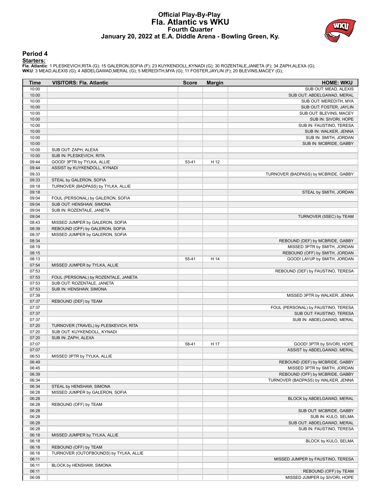# **Official Play-By-Play Fla. Atlantic vs WKU Fourth Quarter January 20, 2022 at E.A. Diddle Arena - Bowling Green, Ky.**



### **Period 4**

<mark>Starters:</mark><br>Fla. Atlantic: 1 PLESKEVICH,RITA (G); 15 GALERON,SOFIA (F); 23 KUYKENDOLL,KYNADI (G); 30 ROZENTALE,JANETA (F); 34 ZAPH,ALEXA (G);<br>WKU: 3 MEAD,ALEXIS (G); 4 ABDELGAWAD,MERAL (G); 5 MEREDITH,MYA (G); 11 FOSTER,JA

| Time  | <b>VISITORS: Fla. Atlantic</b>         | <b>Score</b> | <b>Margin</b> | <b>HOME: WKU</b>                     |
|-------|----------------------------------------|--------------|---------------|--------------------------------------|
| 10:00 |                                        |              |               | SUB OUT: MEAD, ALEXIS                |
| 10:00 |                                        |              |               | SUB OUT: ABDELGAWAD, MERAL           |
| 10:00 |                                        |              |               | SUB OUT: MEREDITH, MYA               |
| 10:00 |                                        |              |               | SUB OUT: FOSTER, JAYLIN              |
| 10:00 |                                        |              |               | SUB OUT: BLEVINS, MACEY              |
| 10:00 |                                        |              |               | SUB IN: SIVORI, HOPE                 |
| 10:00 |                                        |              |               | SUB IN: FAUSTINO, TERESA             |
| 10:00 |                                        |              |               | SUB IN: WALKER, JENNA                |
| 10:00 |                                        |              |               | SUB IN: SMITH, JORDAN                |
| 10:00 |                                        |              |               | SUB IN: MCBRIDE, GABBY               |
| 10:00 | SUB OUT: ZAPH, ALEXA                   |              |               |                                      |
| 10:00 | SUB IN: PLESKEVICH, RITA               |              |               |                                      |
| 09:44 | GOOD! 3PTR by TYLKA, ALLIE             | 53-41        | H 12          |                                      |
| 09:44 | ASSIST by KUYKENDOLL, KYNADI           |              |               |                                      |
| 09:33 |                                        |              |               | TURNOVER (BADPASS) by MCBRIDE, GABBY |
| 09:33 | STEAL by GALERON, SOFIA                |              |               |                                      |
| 09:18 | TURNOVER (BADPASS) by TYLKA, ALLIE     |              |               |                                      |
| 09:18 |                                        |              |               | STEAL by SMITH, JORDAN               |
| 09:04 | FOUL (PERSONAL) by GALERON, SOFIA      |              |               |                                      |
| 09:04 | SUB OUT: HENSHAW, SIMONA               |              |               |                                      |
| 09:04 | SUB IN: ROZENTALE, JANETA              |              |               |                                      |
| 09:04 |                                        |              |               | TURNOVER (5SEC) by TEAM              |
| 08:43 | MISSED JUMPER by GALERON, SOFIA        |              |               |                                      |
| 08:39 | REBOUND (OFF) by GALERON, SOFIA        |              |               |                                      |
| 08:37 | MISSED JUMPER by GALERON, SOFIA        |              |               |                                      |
| 08:34 |                                        |              |               | REBOUND (DEF) by MCBRIDE, GABBY      |
| 08:19 |                                        |              |               | MISSED 3PTR by SMITH, JORDAN         |
| 08:15 |                                        |              |               | REBOUND (OFF) by SMITH, JORDAN       |
| 08:13 |                                        | 55-41        | H 14          | GOOD! LAYUP by SMITH, JORDAN         |
| 07:54 | MISSED JUMPER by TYLKA, ALLIE          |              |               |                                      |
| 07:53 |                                        |              |               | REBOUND (DEF) by FAUSTINO, TERESA    |
| 07:53 | FOUL (PERSONAL) by ROZENTALE, JANETA   |              |               |                                      |
| 07:53 | SUB OUT: ROZENTALE, JANETA             |              |               |                                      |
| 07:53 | SUB IN: HENSHAW, SIMONA                |              |               |                                      |
| 07:39 |                                        |              |               | MISSED 3PTR by WALKER, JENNA         |
| 07:37 | REBOUND (DEF) by TEAM                  |              |               |                                      |
| 07:37 |                                        |              |               | FOUL (PERSONAL) by FAUSTINO, TERESA  |
| 07:37 |                                        |              |               | SUB OUT: FAUSTINO, TERESA            |
| 07:37 |                                        |              |               | SUB IN: ABDELGAWAD, MERAL            |
| 07:20 | TURNOVER (TRAVEL) by PLESKEVICH, RITA  |              |               |                                      |
| 07:20 | SUB OUT: KUYKENDOLL, KYNADI            |              |               |                                      |
| 07:20 | SUB IN: ZAPH, ALEXA                    |              |               |                                      |
| 07:07 |                                        | 58-41        | H 17          | GOOD! 3PTR by SIVORI, HOPE           |
| 07:07 |                                        |              |               | ASSIST by ABDELGAWAD, MERAL          |
| 06:53 | MISSED 3PTR by TYLKA, ALLIE            |              |               |                                      |
| 06:49 |                                        |              |               | REBOUND (DEF) by MCBRIDE, GABBY      |
| 06:45 |                                        |              |               | MISSED 3PTR by SMITH, JORDAN         |
| 06:39 |                                        |              |               | REBOUND (OFF) by MCBRIDE, GABBY      |
| 06:34 |                                        |              |               | TURNOVER (BADPASS) by WALKER, JENNA  |
| 06:34 | STEAL by HENSHAW, SIMONA               |              |               |                                      |
| 06:28 | MISSED JUMPER by GALERON, SOFIA        |              |               |                                      |
| 06:28 |                                        |              |               | BLOCK by ABDELGAWAD, MERAL           |
| 06:28 | REBOUND (OFF) by TEAM                  |              |               |                                      |
| 06:28 |                                        |              |               | SUB OUT: MCBRIDE, GABBY              |
| 06:28 |                                        |              |               | SUB IN: KULO, SELMA                  |
| 06:28 |                                        |              |               | SUB OUT: ABDELGAWAD, MERAL           |
| 06:28 |                                        |              |               | SUB IN: FAUSTINO, TERESA             |
| 06:18 | MISSED JUMPER by TYLKA, ALLIE          |              |               |                                      |
| 06:18 |                                        |              |               | BLOCK by KULO, SELMA                 |
| 06:18 | REBOUND (OFF) by TEAM                  |              |               |                                      |
|       | TURNOVER (OUTOFBOUNDS) by TYLKA, ALLIE |              |               |                                      |
| 06:16 |                                        |              |               |                                      |
| 06:11 |                                        |              |               | MISSED JUMPER by FAUSTINO, TERESA    |
| 06:11 | BLOCK by HENSHAW, SIMONA               |              |               |                                      |
| 06:11 |                                        |              |               | REBOUND (OFF) by TEAM                |
| 06:09 |                                        |              |               | MISSED JUMPER by SIVORI, HOPE        |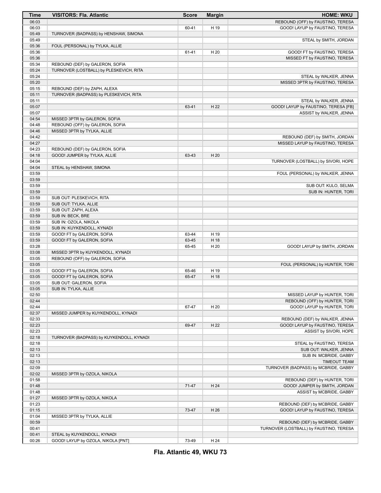| Time           | <b>VISITORS: Fla. Atlantic</b>                                             | <b>Score</b> | <b>Margin</b> | <b>HOME: WKU</b>                        |
|----------------|----------------------------------------------------------------------------|--------------|---------------|-----------------------------------------|
| 06:03          |                                                                            |              |               | REBOUND (OFF) by FAUSTINO, TERESA       |
| 06:03          |                                                                            | 60-41        | H 19          | GOOD! LAYUP by FAUSTINO, TERESA         |
| 05:49          | TURNOVER (BADPASS) by HENSHAW, SIMONA                                      |              |               |                                         |
| 05:49          |                                                                            |              |               | STEAL by SMITH, JORDAN                  |
| 05:36          | FOUL (PERSONAL) by TYLKA, ALLIE                                            |              |               |                                         |
| 05:36          |                                                                            | 61-41        | H 20          | GOOD! FT by FAUSTINO, TERESA            |
| 05:36<br>05:34 |                                                                            |              |               | MISSED FT by FAUSTINO, TERESA           |
| 05:24          | REBOUND (DEF) by GALERON, SOFIA<br>TURNOVER (LOSTBALL) by PLESKEVICH, RITA |              |               |                                         |
| 05:24          |                                                                            |              |               | STEAL by WALKER, JENNA                  |
| 05:20          |                                                                            |              |               | MISSED 3PTR by FAUSTINO, TERESA         |
| 05:15          | REBOUND (DEF) by ZAPH, ALEXA                                               |              |               |                                         |
| 05:11          | TURNOVER (BADPASS) by PLESKEVICH, RITA                                     |              |               |                                         |
| 05:11          |                                                                            |              |               | STEAL by WALKER, JENNA                  |
| 05:07          |                                                                            | 63-41        | H 22          | GOOD! LAYUP by FAUSTINO, TERESA [FB]    |
| 05:07          |                                                                            |              |               | ASSIST by WALKER, JENNA                 |
| 04:54          | MISSED 3PTR by GALERON, SOFIA                                              |              |               |                                         |
| 04:48          | REBOUND (OFF) by GALERON, SOFIA                                            |              |               |                                         |
| 04:46          | MISSED 3PTR by TYLKA, ALLIE                                                |              |               |                                         |
| 04:42          |                                                                            |              |               | REBOUND (DEF) by SMITH, JORDAN          |
| 04:27          |                                                                            |              |               | MISSED LAYUP by FAUSTINO, TERESA        |
| 04:23          | REBOUND (DEF) by GALERON, SOFIA                                            |              |               |                                         |
| 04:18<br>04:04 | GOOD! JUMPER by TYLKA, ALLIE                                               | 63-43        | H 20          | TURNOVER (LOSTBALL) by SIVORI, HOPE     |
| 04:04          | STEAL by HENSHAW, SIMONA                                                   |              |               |                                         |
| 03:59          |                                                                            |              |               | FOUL (PERSONAL) by WALKER, JENNA        |
| 03:59          |                                                                            |              |               |                                         |
| 03:59          |                                                                            |              |               | SUB OUT: KULO, SELMA                    |
| 03:59          |                                                                            |              |               | SUB IN: HUNTER, TORI                    |
| 03:59          | SUB OUT: PLESKEVICH, RITA                                                  |              |               |                                         |
| 03:59          | SUB OUT: TYLKA, ALLIE                                                      |              |               |                                         |
| 03:59          | SUB OUT: ZAPH, ALEXA                                                       |              |               |                                         |
| 03:59          | SUB IN: BECK, BRE                                                          |              |               |                                         |
| 03:59          | SUB IN: OZOLA, NIKOLA                                                      |              |               |                                         |
| 03:59          | SUB IN: KUYKENDOLL, KYNADI                                                 |              |               |                                         |
| 03:59          | GOOD! FT by GALERON, SOFIA                                                 | 63-44        | H 19          |                                         |
| 03:59          | GOOD! FT by GALERON, SOFIA                                                 | 63-45        | H 18          |                                         |
| 03:28          |                                                                            | 65-45        | H 20          | GOOD! LAYUP by SMITH, JORDAN            |
| 03:08<br>03:05 | MISSED 3PTR by KUYKENDOLL, KYNADI<br>REBOUND (OFF) by GALERON, SOFIA       |              |               |                                         |
| 03:05          |                                                                            |              |               | FOUL (PERSONAL) by HUNTER, TORI         |
| 03:05          | GOOD! FT by GALERON, SOFIA                                                 | 65-46        | H 19          |                                         |
| 03:05          | GOOD! FT by GALERON, SOFIA                                                 | 65-47        | H 18          |                                         |
| 03:05          | SUB OUT: GALERON, SOFIA                                                    |              |               |                                         |
| 03:05          | SUB IN: TYLKA, ALLIE                                                       |              |               |                                         |
| 02:50          |                                                                            |              |               | MISSED LAYUP by HUNTER, TORI            |
| 02:44          |                                                                            |              |               | REBOUND (OFF) by HUNTER, TORI           |
| 02:44          |                                                                            | 67-47        | H 20          | GOOD! LAYUP by HUNTER, TORI             |
| 02:37          | MISSED JUMPER by KUYKENDOLL, KYNADI                                        |              |               |                                         |
| 02:33          |                                                                            |              |               | REBOUND (DEF) by WALKER, JENNA          |
| 02:23          |                                                                            | 69-47        | H 22          | GOOD! LAYUP by FAUSTINO, TERESA         |
| 02:23<br>02:18 |                                                                            |              |               | ASSIST by SIVORI, HOPE                  |
| 02:18          | TURNOVER (BADPASS) by KUYKENDOLL, KYNADI                                   |              |               | STEAL by FAUSTINO, TERESA               |
| 02:13          |                                                                            |              |               | SUB OUT: WALKER, JENNA                  |
| 02:13          |                                                                            |              |               | SUB IN: MCBRIDE, GABBY                  |
| 02:13          |                                                                            |              |               | <b>TIMEOUT TEAM</b>                     |
| 02:09          |                                                                            |              |               | TURNOVER (BADPASS) by MCBRIDE, GABBY    |
| 02:02          | MISSED 3PTR by OZOLA, NIKOLA                                               |              |               |                                         |
| 01:58          |                                                                            |              |               | REBOUND (DEF) by HUNTER, TORI           |
| 01:48          |                                                                            | $71-47$      | H 24          | GOOD! JUMPER by SMITH, JORDAN           |
| 01:48          |                                                                            |              |               | ASSIST by MCBRIDE, GABBY                |
| 01:27          | MISSED 3PTR by OZOLA, NIKOLA                                               |              |               |                                         |
| 01:23          |                                                                            |              |               | REBOUND (DEF) by MCBRIDE, GABBY         |
| 01:15          |                                                                            | 73-47        | H 26          | GOOD! LAYUP by FAUSTINO, TERESA         |
| 01:04          | MISSED 3PTR by TYLKA, ALLIE                                                |              |               |                                         |
| 00:59          |                                                                            |              |               | REBOUND (DEF) by MCBRIDE, GABBY         |
| 00:41<br>00:41 | STEAL by KUYKENDOLL, KYNADI                                                |              |               | TURNOVER (LOSTBALL) by FAUSTINO, TERESA |
| 00:26          | GOOD! LAYUP by OZOLA, NIKOLA [PNT]                                         | 73-49        | H 24          |                                         |
|                |                                                                            |              |               |                                         |

**Fla. Atlantic 49, WKU 73**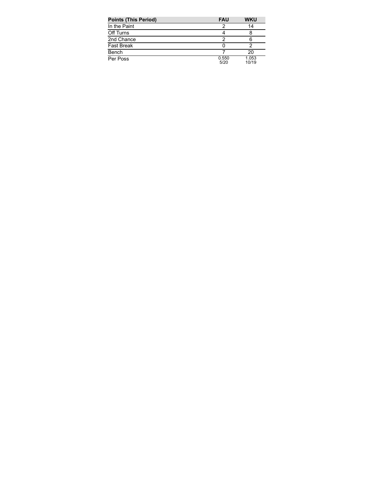| <b>Points (This Period)</b> | <b>FAU</b>    | <b>WKU</b>     |
|-----------------------------|---------------|----------------|
| In the Paint                |               | 14             |
| Off Turns                   |               |                |
| 2nd Chance                  |               |                |
| <b>Fast Break</b>           |               |                |
| Bench                       |               | 20             |
| Per Poss                    | 0.550<br>5/20 | 1.053<br>10/19 |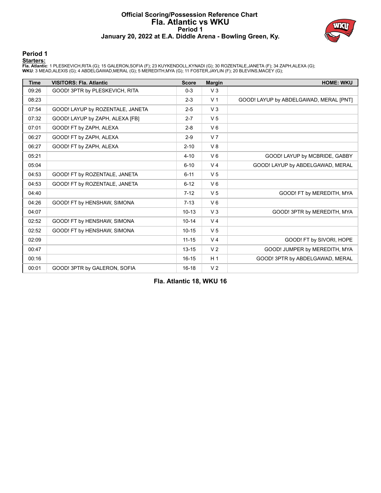## **Official Scoring/Possession Reference Chart Fla. Atlantic vs WKU Period 1 January 20, 2022 at E.A. Diddle Arena - Bowling Green, Ky.**



### **Period 1**

### **Starters:**

**Fia. Atlantic**: 1 PLESKEVICH,RITA (G); 15 GALERON,SOFIA (F); 23 KUYKENDOLL,KYNADI (G); 30 ROZENTALE,JANETA (F); 34 ZAPH,ALEXA (G);<br>**WKU**: 3 MEAD,ALEXIS (G); 4 ABDELGAWAD,MERAL (G); 5 MEREDITH,MYA (G); 11 FOSTER,JAYLIN (F)

| <b>Time</b> | <b>VISITORS: Fla. Atlantic</b>   | <b>Score</b> | <b>Margin</b>  | <b>HOME: WKU</b>                       |
|-------------|----------------------------------|--------------|----------------|----------------------------------------|
| 09:26       | GOOD! 3PTR by PLESKEVICH, RITA   | $0 - 3$      | V <sub>3</sub> |                                        |
| 08:23       |                                  | $2 - 3$      | V <sub>1</sub> | GOOD! LAYUP by ABDELGAWAD, MERAL [PNT] |
| 07:54       | GOOD! LAYUP by ROZENTALE, JANETA | $2 - 5$      | V <sub>3</sub> |                                        |
| 07:32       | GOOD! LAYUP by ZAPH, ALEXA [FB]  | $2 - 7$      | V <sub>5</sub> |                                        |
| 07:01       | GOOD! FT by ZAPH, ALEXA          | $2 - 8$      | $V_6$          |                                        |
| 06:27       | GOOD! FT by ZAPH, ALEXA          | $2-9$        | V <sub>7</sub> |                                        |
| 06:27       | GOOD! FT by ZAPH, ALEXA          | $2 - 10$     | V8             |                                        |
| 05:21       |                                  | $4 - 10$     | $V_6$          | GOOD! LAYUP by MCBRIDE, GABBY          |
| 05:04       |                                  | $6 - 10$     | V <sub>4</sub> | GOOD! LAYUP by ABDELGAWAD, MERAL       |
| 04:53       | GOOD! FT by ROZENTALE, JANETA    | $6 - 11$     | V <sub>5</sub> |                                        |
| 04:53       | GOOD! FT by ROZENTALE, JANETA    | $6 - 12$     | $V_6$          |                                        |
| 04:40       |                                  | $7 - 12$     | V <sub>5</sub> | GOOD! FT by MEREDITH, MYA              |
| 04:26       | GOOD! FT by HENSHAW, SIMONA      | $7 - 13$     | $V_6$          |                                        |
| 04:07       |                                  | $10 - 13$    | V <sub>3</sub> | GOOD! 3PTR by MEREDITH, MYA            |
| 02:52       | GOOD! FT by HENSHAW, SIMONA      | $10 - 14$    | V <sub>4</sub> |                                        |
| 02:52       | GOOD! FT by HENSHAW, SIMONA      | $10 - 15$    | V <sub>5</sub> |                                        |
| 02:09       |                                  | $11 - 15$    | V <sub>4</sub> | GOOD! FT by SIVORI, HOPE               |
| 00:47       |                                  | $13 - 15$    | V <sub>2</sub> | GOOD! JUMPER by MEREDITH, MYA          |
| 00:16       |                                  | $16 - 15$    | H <sub>1</sub> | GOOD! 3PTR by ABDELGAWAD, MERAL        |
| 00:01       | GOOD! 3PTR by GALERON, SOFIA     | $16 - 18$    | V <sub>2</sub> |                                        |

**Fla. Atlantic 18, WKU 16**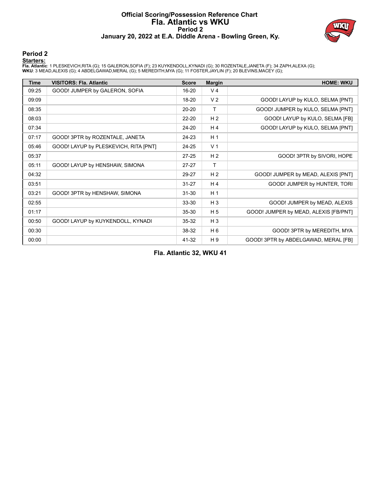# **Official Scoring/Possession Reference Chart Fla. Atlantic vs WKU Period 2 January 20, 2022 at E.A. Diddle Arena - Bowling Green, Ky.**



### **Period 2**

### **Starters:**

**Fia. Atlantic**: 1 PLESKEVICH,RITA (G); 15 GALERON,SOFIA (F); 23 KUYKENDOLL,KYNADI (G); 30 ROZENTALE,JANETA (F); 34 ZAPH,ALEXA (G);<br>**WKU**: 3 MEAD,ALEXIS (G); 4 ABDELGAWAD,MERAL (G); 5 MEREDITH,MYA (G); 11 FOSTER,JAYLIN (F)

| <b>Time</b> | <b>VISITORS: Fla. Atlantic</b>        | <b>Score</b> | <b>Margin</b>  | <b>HOME: WKU</b>                      |
|-------------|---------------------------------------|--------------|----------------|---------------------------------------|
| 09:25       | GOOD! JUMPER by GALERON, SOFIA        | 16-20        | V <sub>4</sub> |                                       |
| 09:09       |                                       | 18-20        | V <sub>2</sub> | GOOD! LAYUP by KULO, SELMA [PNT]      |
| 08:35       |                                       | $20 - 20$    | T.             | GOOD! JUMPER by KULO, SELMA [PNT]     |
| 08:03       |                                       | $22 - 20$    | H <sub>2</sub> | GOOD! LAYUP by KULO, SELMA [FB]       |
| 07:34       |                                       | $24 - 20$    | H <sub>4</sub> | GOOD! LAYUP by KULO, SELMA [PNT]      |
| 07:17       | GOOD! 3PTR by ROZENTALE, JANETA       | 24-23        | H <sub>1</sub> |                                       |
| 05:46       | GOOD! LAYUP by PLESKEVICH, RITA [PNT] | 24-25        | V <sub>1</sub> |                                       |
| 05:37       |                                       | $27 - 25$    | H <sub>2</sub> | GOOD! 3PTR by SIVORI, HOPE            |
| 05:11       | GOOD! LAYUP by HENSHAW, SIMONA        | $27 - 27$    | Τ              |                                       |
| 04:32       |                                       | 29-27        | H <sub>2</sub> | GOOD! JUMPER by MEAD, ALEXIS [PNT]    |
| 03:51       |                                       | $31 - 27$    | H <sub>4</sub> | GOOD! JUMPER by HUNTER, TORI          |
| 03:21       | GOOD! 3PTR by HENSHAW, SIMONA         | $31 - 30$    | H <sub>1</sub> |                                       |
| 02:55       |                                       | 33-30        | $H_3$          | GOOD! JUMPER by MEAD, ALEXIS          |
| 01:17       |                                       | $35 - 30$    | H <sub>5</sub> | GOOD! JUMPER by MEAD, ALEXIS [FB/PNT] |
| 00:50       | GOOD! LAYUP by KUYKENDOLL, KYNADI     | $35 - 32$    | $H_3$          |                                       |
| 00:30       |                                       | 38-32        | H 6            | GOOD! 3PTR by MEREDITH, MYA           |
| 00:00       |                                       | 41-32        | H 9            | GOOD! 3PTR by ABDELGAWAD, MERAL [FB]  |

**Fla. Atlantic 32, WKU 41**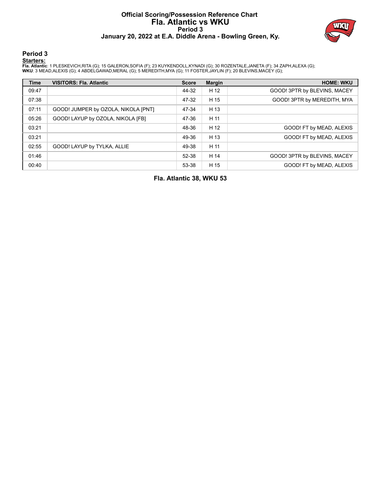# **Official Scoring/Possession Reference Chart Fla. Atlantic vs WKU Period 3 January 20, 2022 at E.A. Diddle Arena - Bowling Green, Ky.**



**Period 3**

### **Starters:**

**Fia. Atlantic**: 1 PLESKEVICH,RITA (G); 15 GALERON,SOFIA (F); 23 KUYKENDOLL,KYNADI (G); 30 ROZENTALE,JANETA (F); 34 ZAPH,ALEXA (G);<br>**WKU**: 3 MEAD,ALEXIS (G); 4 ABDELGAWAD,MERAL (G); 5 MEREDITH,MYA (G); 11 FOSTER,JAYLIN (F)

| <b>Time</b> | <b>VISITORS: Fla. Atlantic</b>      | <b>Score</b> | <b>Margin</b> | <b>HOME: WKU</b>             |
|-------------|-------------------------------------|--------------|---------------|------------------------------|
| 09:47       |                                     | 44-32        | H 12          | GOOD! 3PTR by BLEVINS, MACEY |
| 07:38       |                                     | 47-32        | H 15          | GOOD! 3PTR by MEREDITH, MYA  |
| 07:11       | GOOD! JUMPER by OZOLA, NIKOLA [PNT] | 47-34        | H 13          |                              |
| 05:26       | GOOD! LAYUP by OZOLA, NIKOLA [FB]   | 47-36        | H 11          |                              |
| 03:21       |                                     | 48-36        | H 12          | GOOD! FT by MEAD, ALEXIS     |
| 03:21       |                                     | 49-36        | H 13          | GOOD! FT by MEAD, ALEXIS     |
| 02:55       | GOOD! LAYUP by TYLKA, ALLIE         | 49-38        | H 11          |                              |
| 01:46       |                                     | 52-38        | H 14          | GOOD! 3PTR by BLEVINS, MACEY |
| 00:40       |                                     | 53-38        | H 15          | GOOD! FT by MEAD, ALEXIS     |

**Fla. Atlantic 38, WKU 53**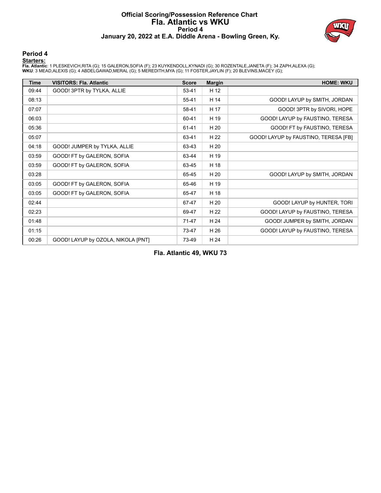## **Official Scoring/Possession Reference Chart Fla. Atlantic vs WKU Period 4 January 20, 2022 at E.A. Diddle Arena - Bowling Green, Ky.**



### **Period 4**

### **Starters:**

**Fia. Atlantic**: 1 PLESKEVICH,RITA (G); 15 GALERON,SOFIA (F); 23 KUYKENDOLL,KYNADI (G); 30 ROZENTALE,JANETA (F); 34 ZAPH,ALEXA (G);<br>**WKU**: 3 MEAD,ALEXIS (G); 4 ABDELGAWAD,MERAL (G); 5 MEREDITH,MYA (G); 11 FOSTER,JAYLIN (F)

| <b>Time</b> | <b>VISITORS: Fla. Atlantic</b>     | <b>Score</b> | <b>Margin</b> | <b>HOME: WKU</b>                     |
|-------------|------------------------------------|--------------|---------------|--------------------------------------|
| 09:44       | GOOD! 3PTR by TYLKA, ALLIE         | 53-41        | H 12          |                                      |
| 08:13       |                                    | $55 - 41$    | H 14          | GOOD! LAYUP by SMITH, JORDAN         |
| 07:07       |                                    | 58-41        | H 17          | GOOD! 3PTR by SIVORI, HOPE           |
| 06:03       |                                    | 60-41        | H 19          | GOOD! LAYUP by FAUSTINO, TERESA      |
| 05:36       |                                    | 61-41        | H 20          | GOOD! FT by FAUSTINO, TERESA         |
| 05:07       |                                    | 63-41        | H 22          | GOOD! LAYUP by FAUSTINO, TERESA [FB] |
| 04:18       | GOOD! JUMPER by TYLKA, ALLIE       | 63-43        | H 20          |                                      |
| 03:59       | GOOD! FT by GALERON, SOFIA         | 63-44        | H 19          |                                      |
| 03:59       | GOOD! FT by GALERON, SOFIA         | 63-45        | H 18          |                                      |
| 03:28       |                                    | 65-45        | H 20          | GOOD! LAYUP by SMITH, JORDAN         |
| 03:05       | GOOD! FT by GALERON, SOFIA         | 65-46        | H 19          |                                      |
| 03:05       | GOOD! FT by GALERON, SOFIA         | 65-47        | H 18          |                                      |
| 02:44       |                                    | 67-47        | H 20          | GOOD! LAYUP by HUNTER, TORI          |
| 02:23       |                                    | 69-47        | H 22          | GOOD! LAYUP by FAUSTINO, TERESA      |
| 01:48       |                                    | $71-47$      | H 24          | GOOD! JUMPER by SMITH, JORDAN        |
| 01:15       |                                    | 73-47        | H 26          | GOOD! LAYUP by FAUSTINO, TERESA      |
| 00:26       | GOOD! LAYUP by OZOLA, NIKOLA [PNT] | 73-49        | H 24          |                                      |

**Fla. Atlantic 49, WKU 73**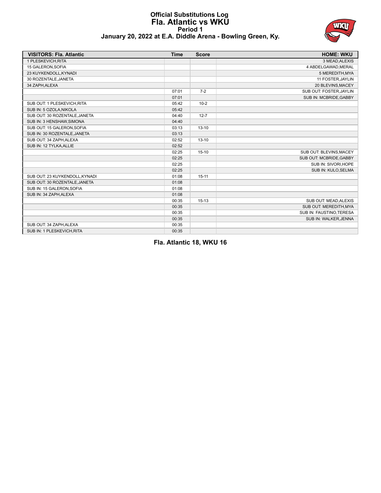# **Official Substitutions Log Fla. Atlantic vs WKU Period 1 January 20, 2022 at E.A. Diddle Arena - Bowling Green, Ky.**



| <b>VISITORS: Fla. Atlantic</b> | <b>Time</b> | <b>Score</b> | <b>HOME: WKU</b>         |
|--------------------------------|-------------|--------------|--------------------------|
| 1 PLESKEVICH, RITA             |             |              | 3 MEAD, ALEXIS           |
| 15 GALERON, SOFIA              |             |              | 4 ABDELGAWAD, MERAL      |
| 23 KUYKENDOLL, KYNADI          |             |              | 5 MEREDITH, MYA          |
| 30 ROZENTALE, JANETA           |             |              | 11 FOSTER, JAYLIN        |
| 34 ZAPH, ALEXA                 |             |              | 20 BLEVINS, MACEY        |
|                                | 07:01       | $7-2$        | SUB OUT: FOSTER, JAYLIN  |
|                                | 07:01       |              | SUB IN: MCBRIDE, GABBY   |
| SUB OUT: 1 PLESKEVICH, RITA    | 05:42       | $10-2$       |                          |
| SUB IN: 5 OZOLA, NIKOLA        | 05:42       |              |                          |
| SUB OUT: 30 ROZENTALE.JANETA   | 04:40       | $12 - 7$     |                          |
| SUB IN: 3 HENSHAW, SIMONA      | 04:40       |              |                          |
| SUB OUT: 15 GALERON, SOFIA     | 03:13       | $13 - 10$    |                          |
| SUB IN: 30 ROZENTALE, JANETA   | 03:13       |              |                          |
| SUB OUT: 34 ZAPH, ALEXA        | 02:52       | $13 - 10$    |                          |
| SUB IN: 12 TYLKA, ALLIE        | 02:52       |              |                          |
|                                | 02:25       | $15-10$      | SUB OUT: BLEVINS, MACEY  |
|                                | 02:25       |              | SUB OUT: MCBRIDE, GABBY  |
|                                | 02:25       |              | SUB IN: SIVORI, HOPE     |
|                                | 02:25       |              | SUB IN: KULO, SELMA      |
| SUB OUT: 23 KUYKENDOLL, KYNADI | 01:08       | $15 - 11$    |                          |
| SUB OUT: 30 ROZENTALE, JANETA  | 01:08       |              |                          |
| SUB IN: 15 GALERON, SOFIA      | 01:08       |              |                          |
| SUB IN: 34 ZAPH, ALEXA         | 01:08       |              |                          |
|                                | 00:35       | $15-13$      | SUB OUT: MEAD, ALEXIS    |
|                                | 00:35       |              | SUB OUT: MEREDITH, MYA   |
|                                | 00:35       |              | SUB IN: FAUSTINO, TERESA |
|                                | 00:35       |              | SUB IN: WALKER, JENNA    |
| SUB OUT: 34 ZAPH, ALEXA        | 00:35       |              |                          |
| SUB IN: 1 PLESKEVICH, RITA     | 00:35       |              |                          |

**Fla. Atlantic 18, WKU 16**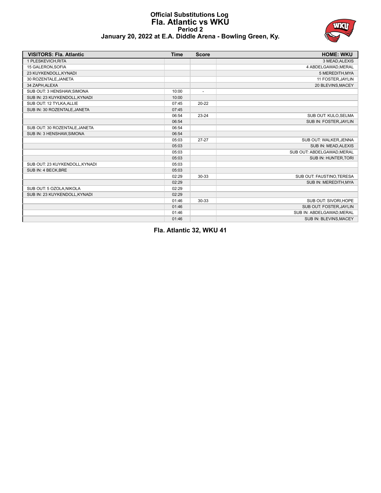## **Official Substitutions Log Fla. Atlantic vs WKU Period 2 January 20, 2022 at E.A. Diddle Arena - Bowling Green, Ky.**



| <b>VISITORS: Fla. Atlantic</b> | <b>Time</b> | <b>Score</b>             | <b>HOME: WKU</b>           |
|--------------------------------|-------------|--------------------------|----------------------------|
| 1 PLESKEVICH.RITA              |             |                          | 3 MEAD, ALEXIS             |
| 15 GALERON.SOFIA               |             |                          | 4 ABDELGAWAD.MERAL         |
| 23 KUYKENDOLL, KYNADI          |             |                          | 5 MEREDITH, MYA            |
| 30 ROZENTALE, JANETA           |             |                          | 11 FOSTER, JAYLIN          |
| 34 ZAPH.ALEXA                  |             |                          | 20 BLEVINS, MACEY          |
| SUB OUT: 3 HENSHAW, SIMONA     | 10:00       | $\overline{\phantom{a}}$ |                            |
| SUB IN: 23 KUYKENDOLL, KYNADI  | 10:00       |                          |                            |
| SUB OUT: 12 TYLKA, ALLIE       | 07:45       | $20 - 22$                |                            |
| SUB IN: 30 ROZENTALE, JANETA   | 07:45       |                          |                            |
|                                | 06:54       | $23 - 24$                | SUB OUT: KULO, SELMA       |
|                                | 06:54       |                          | SUB IN: FOSTER, JAYLIN     |
| SUB OUT: 30 ROZENTALE, JANETA  | 06:54       |                          |                            |
| SUB IN: 3 HENSHAW, SIMONA      | 06:54       |                          |                            |
|                                | 05:03       | $27 - 27$                | SUB OUT: WALKER, JENNA     |
|                                | 05:03       |                          | SUB IN: MEAD, ALEXIS       |
|                                | 05:03       |                          | SUB OUT: ABDELGAWAD, MERAL |
|                                | 05:03       |                          | SUB IN: HUNTER, TORI       |
| SUB OUT: 23 KUYKENDOLL, KYNADI | 05:03       |                          |                            |
| SUB IN: 4 BECK, BRE            | 05:03       |                          |                            |
|                                | 02:29       | 30-33                    | SUB OUT: FAUSTINO, TERESA  |
|                                | 02:29       |                          | SUB IN: MEREDITH, MYA      |
| SUB OUT: 5 OZOLA, NIKOLA       | 02:29       |                          |                            |
| SUB IN: 23 KUYKENDOLL, KYNADI  | 02:29       |                          |                            |
|                                | 01:46       | 30-33                    | SUB OUT: SIVORI, HOPE      |
|                                | 01:46       |                          | SUB OUT: FOSTER, JAYLIN    |
|                                | 01:46       |                          | SUB IN: ABDELGAWAD.MERAL   |
|                                | 01:46       |                          | SUB IN: BLEVINS, MACEY     |

**Fla. Atlantic 32, WKU 41**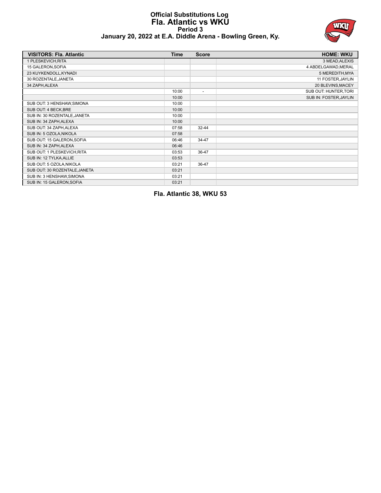# **Official Substitutions Log Fla. Atlantic vs WKU Period 3 January 20, 2022 at E.A. Diddle Arena - Bowling Green, Ky.**



| <b>VISITORS: Fla. Atlantic</b> | <b>Time</b> | <b>Score</b>             | <b>HOME: WKU</b>       |
|--------------------------------|-------------|--------------------------|------------------------|
| 1 PLESKEVICH, RITA             |             |                          | 3 MEAD, ALEXIS         |
| 15 GALERON, SOFIA              |             |                          | 4 ABDELGAWAD, MERAL    |
| 23 KUYKENDOLL, KYNADI          |             |                          | 5 MEREDITH, MYA        |
| 30 ROZENTALE, JANETA           |             |                          | 11 FOSTER, JAYLIN      |
| 34 ZAPH, ALEXA                 |             |                          | 20 BLEVINS, MACEY      |
|                                | 10:00       | $\overline{\phantom{a}}$ | SUB OUT: HUNTER, TORI  |
|                                | 10:00       |                          | SUB IN: FOSTER, JAYLIN |
| SUB OUT: 3 HENSHAW, SIMONA     | 10:00       |                          |                        |
| SUB OUT: 4 BECK, BRE           | 10:00       |                          |                        |
| SUB IN: 30 ROZENTALE, JANETA   | 10:00       |                          |                        |
| SUB IN: 34 ZAPH, ALEXA         | 10:00       |                          |                        |
| SUB OUT: 34 ZAPH, ALEXA        | 07:58       | $32 - 44$                |                        |
| SUB IN: 5 OZOLA, NIKOLA        | 07:58       |                          |                        |
| SUB OUT: 15 GALERON, SOFIA     | 06:46       | 34-47                    |                        |
| SUB IN: 34 ZAPH, ALEXA         | 06:46       |                          |                        |
| SUB OUT: 1 PLESKEVICH, RITA    | 03:53       | 36-47                    |                        |
| SUB IN: 12 TYLKA, ALLIE        | 03:53       |                          |                        |
| SUB OUT: 5 OZOLA, NIKOLA       | 03:21       | 36-47                    |                        |
| SUB OUT: 30 ROZENTALE, JANETA  | 03:21       |                          |                        |
| SUB IN: 3 HENSHAW, SIMONA      | 03:21       |                          |                        |
| SUB IN: 15 GALERON, SOFIA      | 03:21       |                          |                        |

**Fla. Atlantic 38, WKU 53**